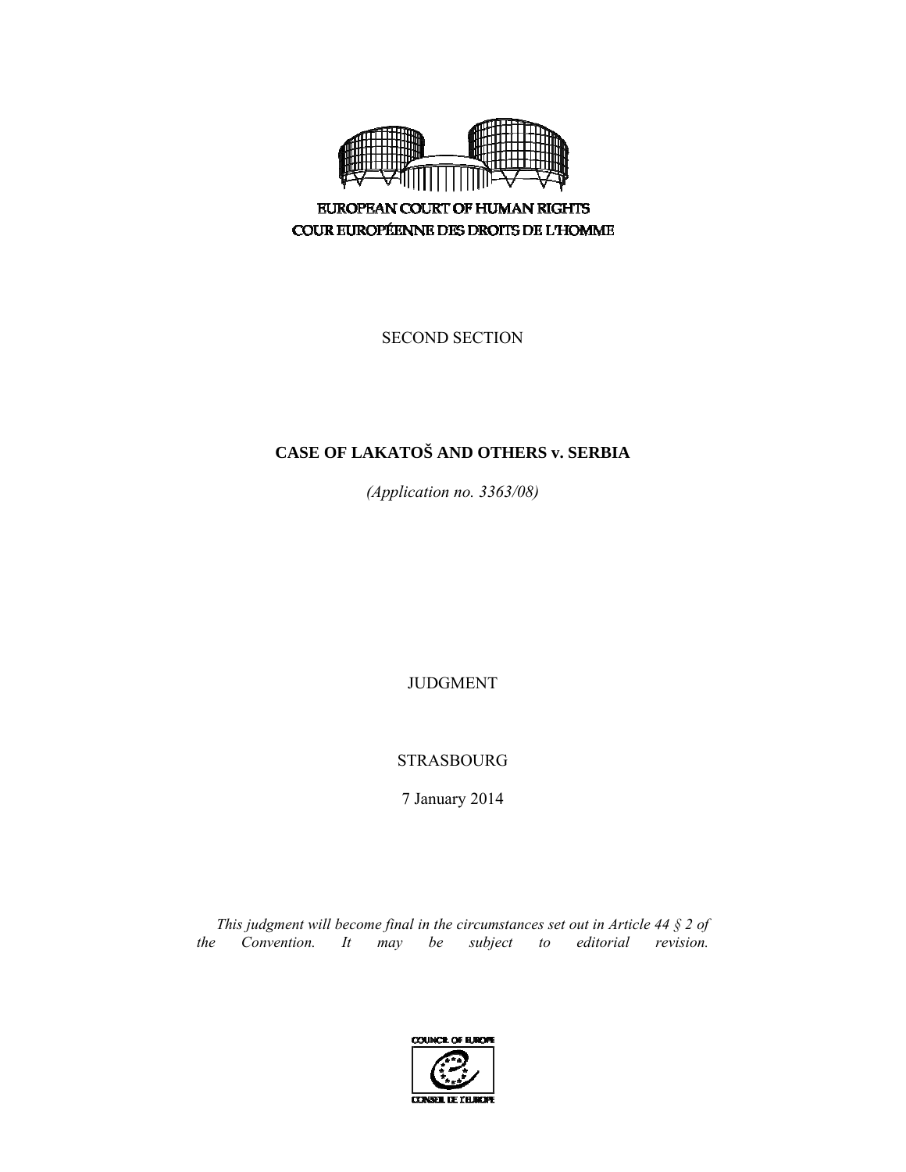

**EUROPEAN COURT OF HUMAN RIGHTS** COUR EUROPÉENNE DES DROITS DE L'HOMME

SECOND SECTION

# **CASE OF LAKATOŠ AND OTHERS v. SERBIA**

*(Application no. 3363/08)* 

JUDGMENT

STRASBOURG

7 January 2014

*This judgment will become final in the circumstances set out in Article 44 § 2 of the Convention. It may be subject to editorial revision.*

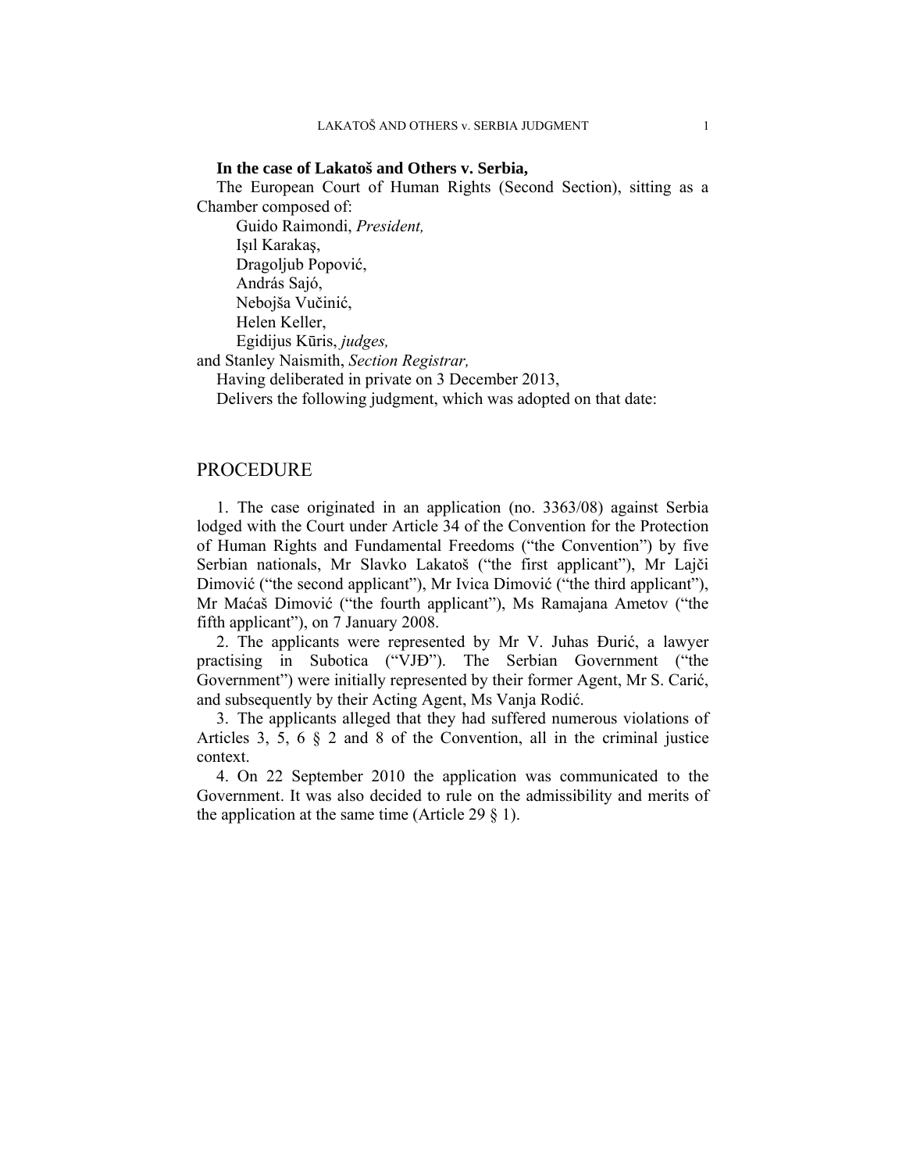#### **In the case of Lakatoš and Others v. Serbia,**

The European Court of Human Rights (Second Section), sitting as a Chamber composed of:

 Guido Raimondi, *President,*  Işıl Karakaş, Dragoljub Popović, András Sajó, Nebojša Vučinić, Helen Keller, Egidijus Kūris, *judges,*  and Stanley Naismith, *Section Registrar,* 

Having deliberated in private on 3 December 2013,

Delivers the following judgment, which was adopted on that date:

## PROCEDURE

1. The case originated in an application (no. 3363/08) against Serbia lodged with the Court under Article 34 of the Convention for the Protection of Human Rights and Fundamental Freedoms ("the Convention") by five Serbian nationals, Mr Slavko Lakatoš ("the first applicant"), Mr Lajči Dimović ("the second applicant"), Mr Ivica Dimović ("the third applicant"), Mr Maćaš Dimović ("the fourth applicant"), Ms Ramajana Ametov ("the fifth applicant"), on 7 January 2008.

2. The applicants were represented by Mr V. Juhas Đurić, a lawyer practising in Subotica ("VJĐ"). The Serbian Government ("the Government") were initially represented by their former Agent, Mr S. Carić, and subsequently by their Acting Agent, Ms Vanja Rodić.

3. The applicants alleged that they had suffered numerous violations of Articles 3, 5, 6 § 2 and 8 of the Convention, all in the criminal justice context.

4. On 22 September 2010 the application was communicated to the Government. It was also decided to rule on the admissibility and merits of the application at the same time (Article 29  $\S$  1).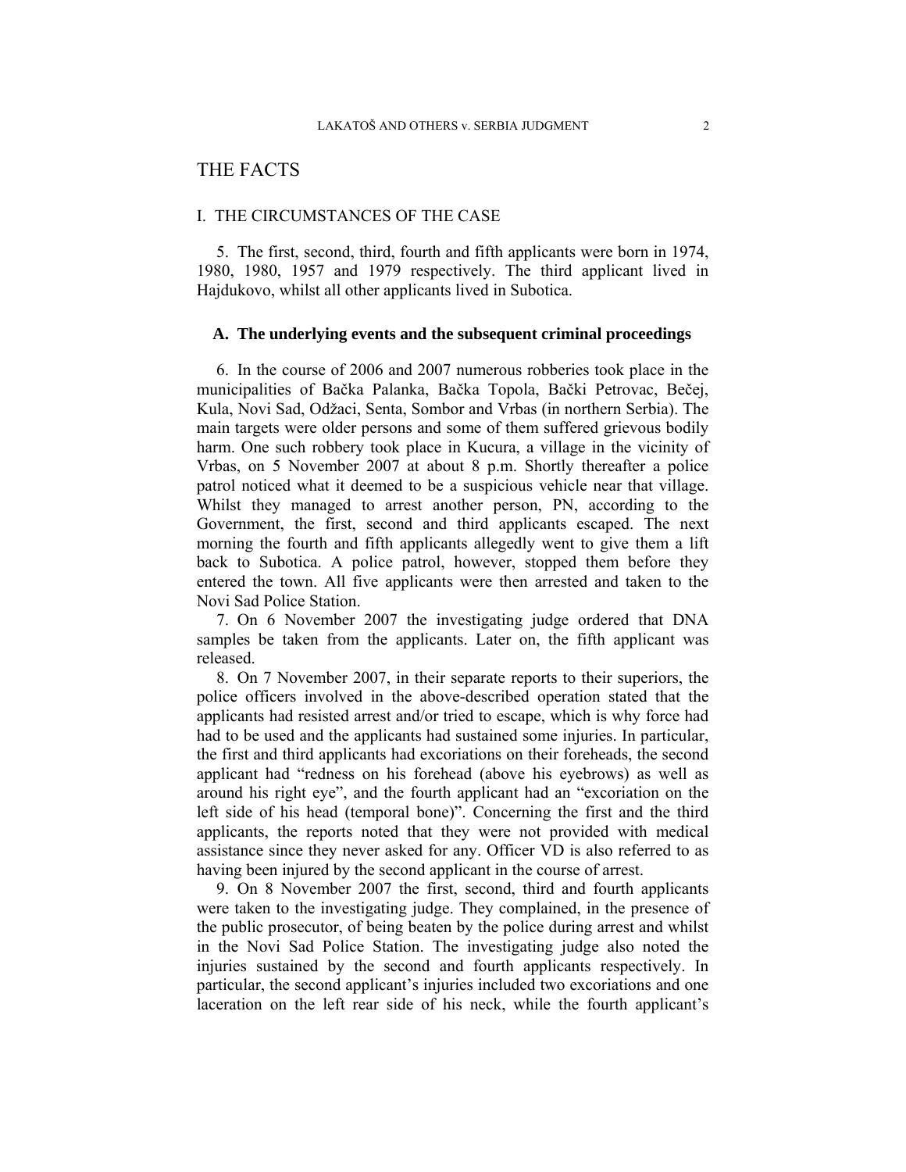## THE FACTS

## I. THE CIRCUMSTANCES OF THE CASE

5. The first, second, third, fourth and fifth applicants were born in 1974, 1980, 1980, 1957 and 1979 respectively. The third applicant lived in Hajdukovo, whilst all other applicants lived in Subotica.

## **A. The underlying events and the subsequent criminal proceedings**

6. In the course of 2006 and 2007 numerous robberies took place in the municipalities of Bačka Palanka, Bačka Topola, Bački Petrovac, Bečej, Kula, Novi Sad, Odžaci, Senta, Sombor and Vrbas (in northern Serbia). The main targets were older persons and some of them suffered grievous bodily harm. One such robbery took place in Kucura, a village in the vicinity of Vrbas, on 5 November 2007 at about 8 p.m. Shortly thereafter a police patrol noticed what it deemed to be a suspicious vehicle near that village. Whilst they managed to arrest another person, PN, according to the Government, the first, second and third applicants escaped. The next morning the fourth and fifth applicants allegedly went to give them a lift back to Subotica. A police patrol, however, stopped them before they entered the town. All five applicants were then arrested and taken to the Novi Sad Police Station.

7. On 6 November 2007 the investigating judge ordered that DNA samples be taken from the applicants. Later on, the fifth applicant was released.

8. On 7 November 2007, in their separate reports to their superiors, the police officers involved in the above-described operation stated that the applicants had resisted arrest and/or tried to escape, which is why force had had to be used and the applicants had sustained some injuries. In particular, the first and third applicants had excoriations on their foreheads, the second applicant had "redness on his forehead (above his eyebrows) as well as around his right eye", and the fourth applicant had an "excoriation on the left side of his head (temporal bone)". Concerning the first and the third applicants, the reports noted that they were not provided with medical assistance since they never asked for any. Officer VD is also referred to as having been injured by the second applicant in the course of arrest.

9. On 8 November 2007 the first, second, third and fourth applicants were taken to the investigating judge. They complained, in the presence of the public prosecutor, of being beaten by the police during arrest and whilst in the Novi Sad Police Station. The investigating judge also noted the injuries sustained by the second and fourth applicants respectively. In particular, the second applicant's injuries included two excoriations and one laceration on the left rear side of his neck, while the fourth applicant's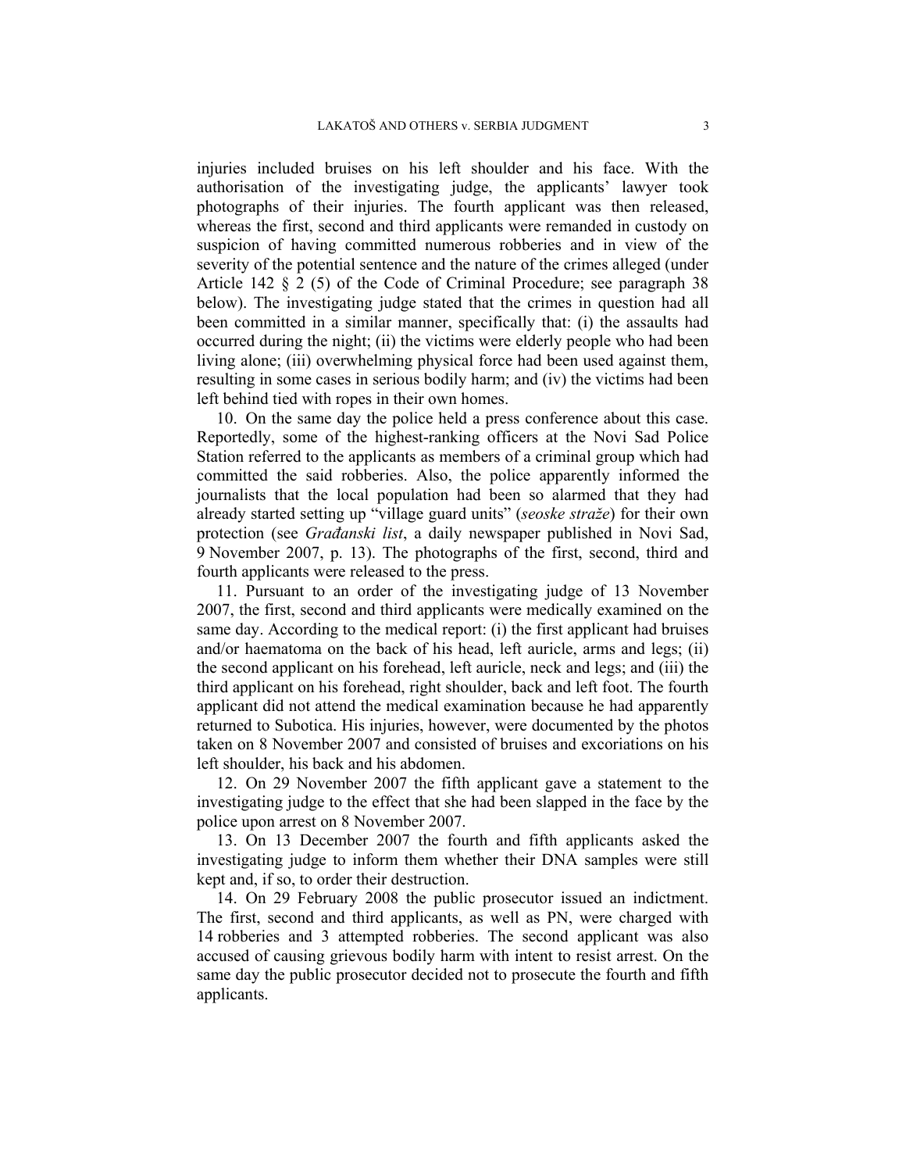injuries included bruises on his left shoulder and his face. With the authorisation of the investigating judge, the applicants' lawyer took photographs of their injuries. The fourth applicant was then released, whereas the first, second and third applicants were remanded in custody on suspicion of having committed numerous robberies and in view of the severity of the potential sentence and the nature of the crimes alleged (under Article 142 § 2 (5) of the Code of Criminal Procedure; see paragraph 38 below). The investigating judge stated that the crimes in question had all been committed in a similar manner, specifically that: (i) the assaults had occurred during the night; (ii) the victims were elderly people who had been living alone; (iii) overwhelming physical force had been used against them, resulting in some cases in serious bodily harm; and (iv) the victims had been left behind tied with ropes in their own homes.

10. On the same day the police held a press conference about this case. Reportedly, some of the highest-ranking officers at the Novi Sad Police Station referred to the applicants as members of a criminal group which had committed the said robberies. Also, the police apparently informed the journalists that the local population had been so alarmed that they had already started setting up "village guard units" (*seoske straže*) for their own protection (see *Građanski list*, a daily newspaper published in Novi Sad, 9 November 2007, p. 13). The photographs of the first, second, third and fourth applicants were released to the press.

11. Pursuant to an order of the investigating judge of 13 November 2007, the first, second and third applicants were medically examined on the same day. According to the medical report: (i) the first applicant had bruises and/or haematoma on the back of his head, left auricle, arms and legs; (ii) the second applicant on his forehead, left auricle, neck and legs; and (iii) the third applicant on his forehead, right shoulder, back and left foot. The fourth applicant did not attend the medical examination because he had apparently returned to Subotica. His injuries, however, were documented by the photos taken on 8 November 2007 and consisted of bruises and excoriations on his left shoulder, his back and his abdomen.

12. On 29 November 2007 the fifth applicant gave a statement to the investigating judge to the effect that she had been slapped in the face by the police upon arrest on 8 November 2007.

13. On 13 December 2007 the fourth and fifth applicants asked the investigating judge to inform them whether their DNA samples were still kept and, if so, to order their destruction.

14. On 29 February 2008 the public prosecutor issued an indictment. The first, second and third applicants, as well as PN, were charged with 14 robberies and 3 attempted robberies. The second applicant was also accused of causing grievous bodily harm with intent to resist arrest. On the same day the public prosecutor decided not to prosecute the fourth and fifth applicants.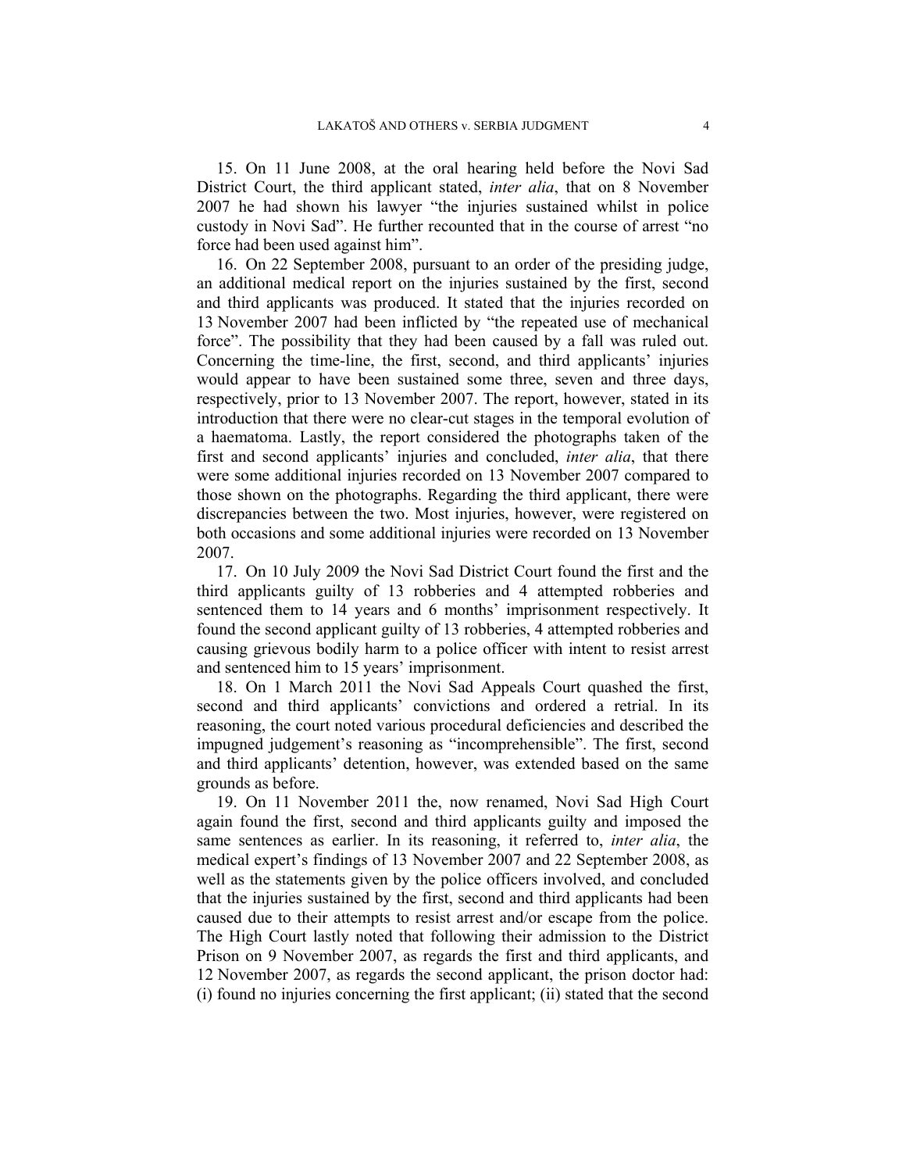15. On 11 June 2008, at the oral hearing held before the Novi Sad District Court, the third applicant stated, *inter alia*, that on 8 November 2007 he had shown his lawyer "the injuries sustained whilst in police custody in Novi Sad". He further recounted that in the course of arrest "no force had been used against him".

16. On 22 September 2008, pursuant to an order of the presiding judge, an additional medical report on the injuries sustained by the first, second and third applicants was produced. It stated that the injuries recorded on 13 November 2007 had been inflicted by "the repeated use of mechanical force". The possibility that they had been caused by a fall was ruled out. Concerning the time-line, the first, second, and third applicants' injuries would appear to have been sustained some three, seven and three days, respectively, prior to 13 November 2007. The report, however, stated in its introduction that there were no clear-cut stages in the temporal evolution of a haematoma. Lastly, the report considered the photographs taken of the first and second applicants' injuries and concluded, *inter alia*, that there were some additional injuries recorded on 13 November 2007 compared to those shown on the photographs. Regarding the third applicant, there were discrepancies between the two. Most injuries, however, were registered on both occasions and some additional injuries were recorded on 13 November 2007.

17. On 10 July 2009 the Novi Sad District Court found the first and the third applicants guilty of 13 robberies and 4 attempted robberies and sentenced them to 14 years and 6 months' imprisonment respectively. It found the second applicant guilty of 13 robberies, 4 attempted robberies and causing grievous bodily harm to a police officer with intent to resist arrest and sentenced him to 15 years' imprisonment.

18. On 1 March 2011 the Novi Sad Appeals Court quashed the first, second and third applicants' convictions and ordered a retrial. In its reasoning, the court noted various procedural deficiencies and described the impugned judgement's reasoning as "incomprehensible". The first, second and third applicants' detention, however, was extended based on the same grounds as before.

19. On 11 November 2011 the, now renamed, Novi Sad High Court again found the first, second and third applicants guilty and imposed the same sentences as earlier. In its reasoning, it referred to, *inter alia*, the medical expert's findings of 13 November 2007 and 22 September 2008, as well as the statements given by the police officers involved, and concluded that the injuries sustained by the first, second and third applicants had been caused due to their attempts to resist arrest and/or escape from the police. The High Court lastly noted that following their admission to the District Prison on 9 November 2007, as regards the first and third applicants, and 12 November 2007, as regards the second applicant, the prison doctor had: (i) found no injuries concerning the first applicant; (ii) stated that the second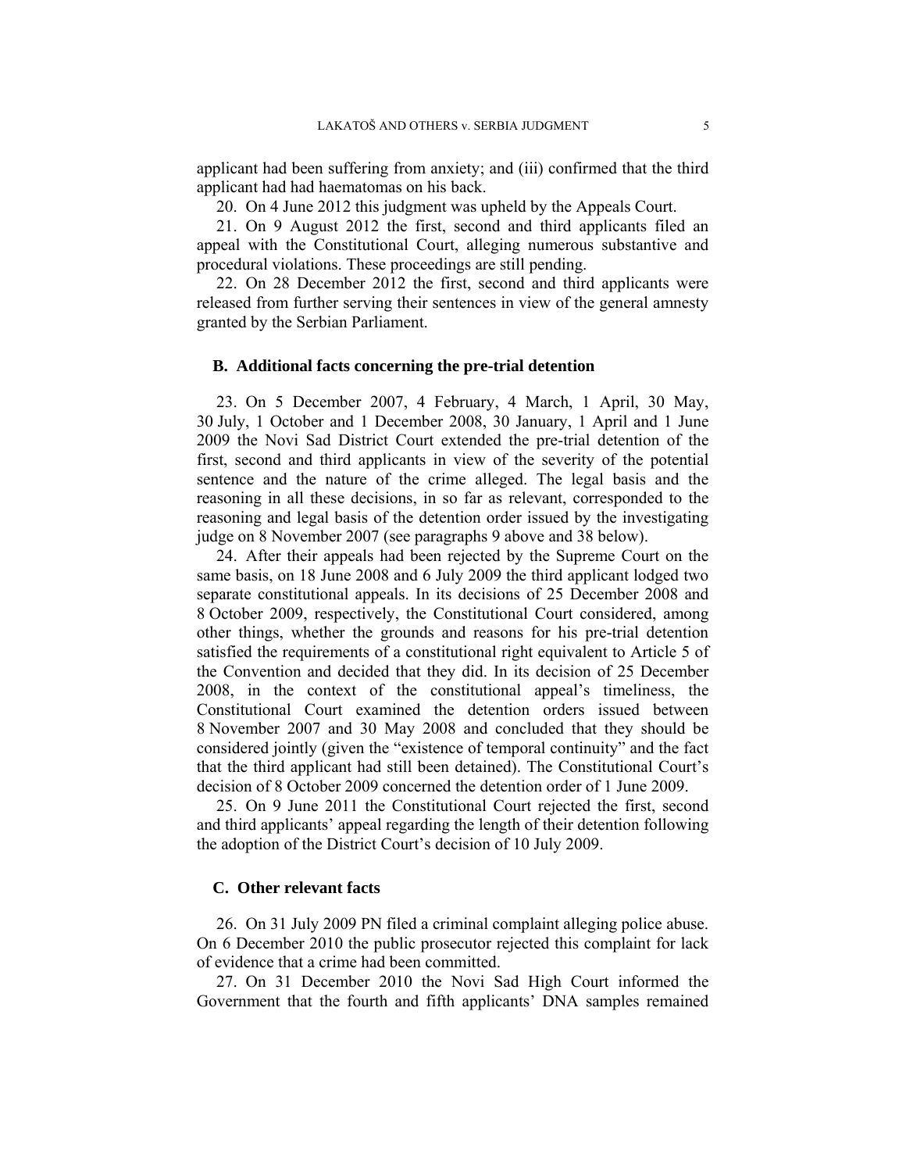applicant had been suffering from anxiety; and (iii) confirmed that the third applicant had had haematomas on his back.

20. On 4 June 2012 this judgment was upheld by the Appeals Court.

21. On 9 August 2012 the first, second and third applicants filed an appeal with the Constitutional Court, alleging numerous substantive and procedural violations. These proceedings are still pending.

22. On 28 December 2012 the first, second and third applicants were released from further serving their sentences in view of the general amnesty granted by the Serbian Parliament.

### **B. Additional facts concerning the pre-trial detention**

23. On 5 December 2007, 4 February, 4 March, 1 April, 30 May, 30 July, 1 October and 1 December 2008, 30 January, 1 April and 1 June 2009 the Novi Sad District Court extended the pre-trial detention of the first, second and third applicants in view of the severity of the potential sentence and the nature of the crime alleged. The legal basis and the reasoning in all these decisions, in so far as relevant, corresponded to the reasoning and legal basis of the detention order issued by the investigating judge on 8 November 2007 (see paragraphs 9 above and 38 below).

24. After their appeals had been rejected by the Supreme Court on the same basis, on 18 June 2008 and 6 July 2009 the third applicant lodged two separate constitutional appeals. In its decisions of 25 December 2008 and 8 October 2009, respectively, the Constitutional Court considered, among other things, whether the grounds and reasons for his pre-trial detention satisfied the requirements of a constitutional right equivalent to Article 5 of the Convention and decided that they did. In its decision of 25 December 2008, in the context of the constitutional appeal's timeliness, the Constitutional Court examined the detention orders issued between 8 November 2007 and 30 May 2008 and concluded that they should be considered jointly (given the "existence of temporal continuity" and the fact that the third applicant had still been detained). The Constitutional Court's decision of 8 October 2009 concerned the detention order of 1 June 2009.

25. On 9 June 2011 the Constitutional Court rejected the first, second and third applicants' appeal regarding the length of their detention following the adoption of the District Court's decision of 10 July 2009.

## **C. Other relevant facts**

26. On 31 July 2009 PN filed a criminal complaint alleging police abuse. On 6 December 2010 the public prosecutor rejected this complaint for lack of evidence that a crime had been committed.

27. On 31 December 2010 the Novi Sad High Court informed the Government that the fourth and fifth applicants' DNA samples remained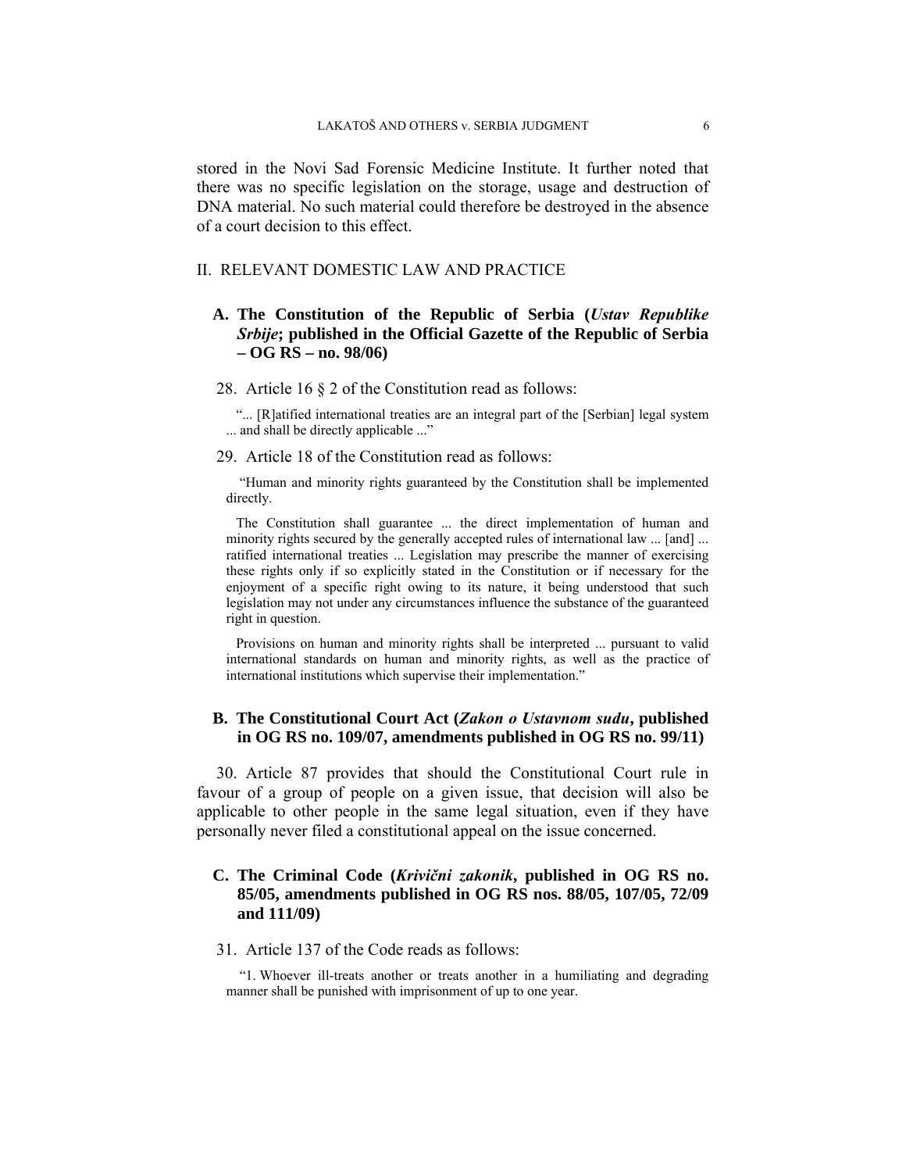stored in the Novi Sad Forensic Medicine Institute. It further noted that there was no specific legislation on the storage, usage and destruction of DNA material. No such material could therefore be destroyed in the absence of a court decision to this effect.

#### II. RELEVANT DOMESTIC LAW AND PRACTICE

## **A. The Constitution of the Republic of Serbia (***Ustav Republike Srbije***; published in the Official Gazette of the Republic of Serbia – OG RS – no. 98/06)**

28. Article 16 § 2 of the Constitution read as follows:

"... [R]atified international treaties are an integral part of the [Serbian] legal system ... and shall be directly applicable ..."

#### 29. Article 18 of the Constitution read as follows:

 "Human and minority rights guaranteed by the Constitution shall be implemented directly.

The Constitution shall guarantee ... the direct implementation of human and minority rights secured by the generally accepted rules of international law ... [and] ... ratified international treaties ... Legislation may prescribe the manner of exercising these rights only if so explicitly stated in the Constitution or if necessary for the enjoyment of a specific right owing to its nature, it being understood that such legislation may not under any circumstances influence the substance of the guaranteed right in question.

Provisions on human and minority rights shall be interpreted ... pursuant to valid international standards on human and minority rights, as well as the practice of international institutions which supervise their implementation."

## **B. The Constitutional Court Act (***Zakon o Ustavnom sudu***, published in OG RS no. 109/07, amendments published in OG RS no. 99/11)**

30. Article 87 provides that should the Constitutional Court rule in favour of a group of people on a given issue, that decision will also be applicable to other people in the same legal situation, even if they have personally never filed a constitutional appeal on the issue concerned.

## **C. The Criminal Code (***Krivični zakonik***, published in OG RS no. 85/05, amendments published in OG RS nos. 88/05, 107/05, 72/09 and 111/09)**

31. Article 137 of the Code reads as follows:

 "1. Whoever ill-treats another or treats another in a humiliating and degrading manner shall be punished with imprisonment of up to one year.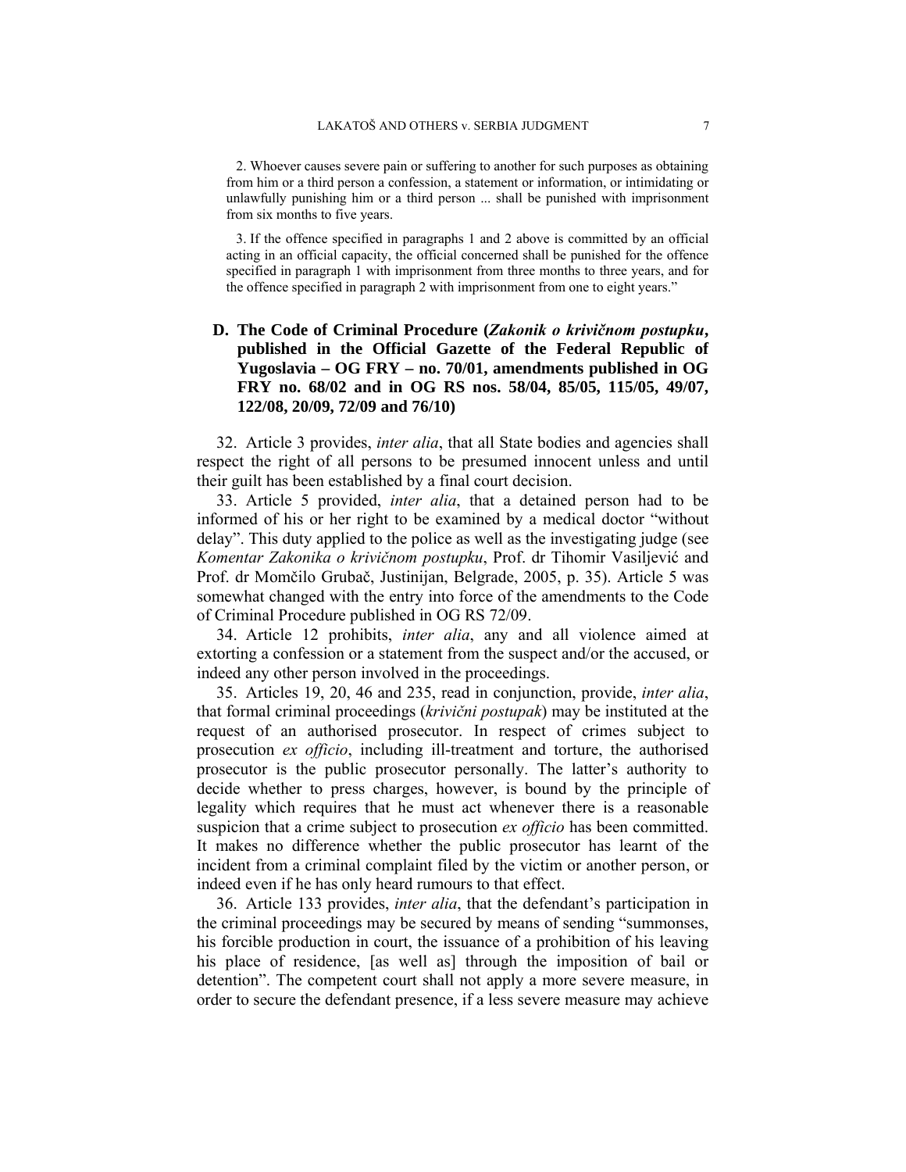2. Whoever causes severe pain or suffering to another for such purposes as obtaining from him or a third person a confession, a statement or information, or intimidating or unlawfully punishing him or a third person ... shall be punished with imprisonment from six months to five years.

3. If the offence specified in paragraphs 1 and 2 above is committed by an official acting in an official capacity, the official concerned shall be punished for the offence specified in paragraph 1 with imprisonment from three months to three years, and for the offence specified in paragraph 2 with imprisonment from one to eight years."

## **D. The Code of Criminal Procedure (***Zakonik o krivičnom postupku***, published in the Official Gazette of the Federal Republic of Yugoslavia – OG FRY – no. 70/01, amendments published in OG FRY no. 68/02 and in OG RS nos. 58/04, 85/05, 115/05, 49/07, 122/08, 20/09, 72/09 and 76/10)**

32. Article 3 provides, *inter alia*, that all State bodies and agencies shall respect the right of all persons to be presumed innocent unless and until their guilt has been established by a final court decision.

33. Article 5 provided, *inter alia*, that a detained person had to be informed of his or her right to be examined by a medical doctor "without delay". This duty applied to the police as well as the investigating judge (see *Komentar Zakonika o krivičnom postupku*, Prof. dr Tihomir Vasiljević and Prof. dr Momčilo Grubač, Justinijan, Belgrade, 2005, p. 35). Article 5 was somewhat changed with the entry into force of the amendments to the Code of Criminal Procedure published in OG RS 72/09.

34. Article 12 prohibits, *inter alia*, any and all violence aimed at extorting a confession or a statement from the suspect and/or the accused, or indeed any other person involved in the proceedings.

35. Articles 19, 20, 46 and 235, read in conjunction, provide, *inter alia*, that formal criminal proceedings (*krivični postupak*) may be instituted at the request of an authorised prosecutor. In respect of crimes subject to prosecution *ex officio*, including ill-treatment and torture, the authorised prosecutor is the public prosecutor personally. The latter's authority to decide whether to press charges, however, is bound by the principle of legality which requires that he must act whenever there is a reasonable suspicion that a crime subject to prosecution *ex officio* has been committed. It makes no difference whether the public prosecutor has learnt of the incident from a criminal complaint filed by the victim or another person, or indeed even if he has only heard rumours to that effect.

36. Article 133 provides, *inter alia*, that the defendant's participation in the criminal proceedings may be secured by means of sending "summonses, his forcible production in court, the issuance of a prohibition of his leaving his place of residence, [as well as] through the imposition of bail or detention". The competent court shall not apply a more severe measure, in order to secure the defendant presence, if a less severe measure may achieve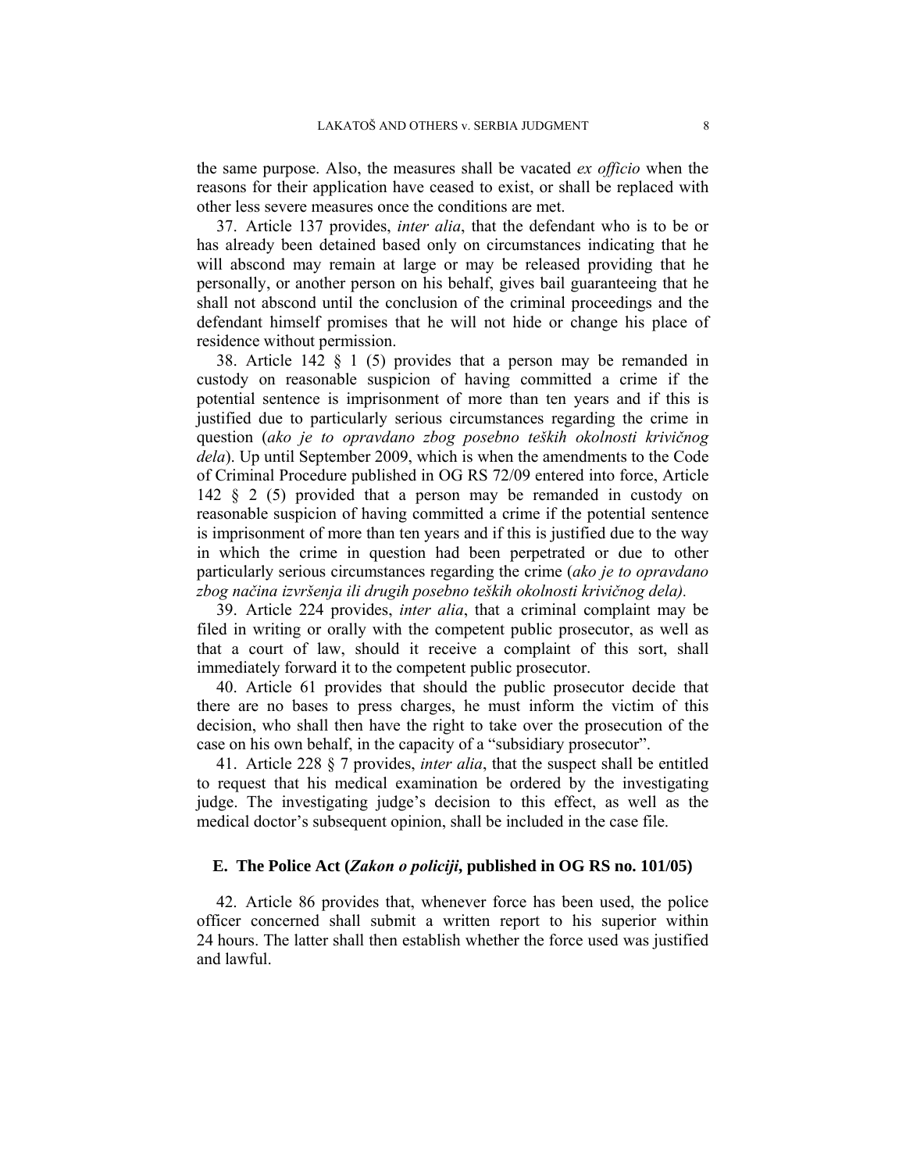the same purpose. Also, the measures shall be vacated *ex officio* when the reasons for their application have ceased to exist, or shall be replaced with other less severe measures once the conditions are met.

37. Article 137 provides, *inter alia*, that the defendant who is to be or has already been detained based only on circumstances indicating that he will abscond may remain at large or may be released providing that he personally, or another person on his behalf, gives bail guaranteeing that he shall not abscond until the conclusion of the criminal proceedings and the defendant himself promises that he will not hide or change his place of residence without permission.

38. Article 142 § 1 (5) provides that a person may be remanded in custody on reasonable suspicion of having committed a crime if the potential sentence is imprisonment of more than ten years and if this is justified due to particularly serious circumstances regarding the crime in question (*ako je to opravdano zbog posebno teških okolnosti krivičnog dela*). Up until September 2009, which is when the amendments to the Code of Criminal Procedure published in OG RS 72/09 entered into force, Article 142 § 2 (5) provided that a person may be remanded in custody on reasonable suspicion of having committed a crime if the potential sentence is imprisonment of more than ten years and if this is justified due to the way in which the crime in question had been perpetrated or due to other particularly serious circumstances regarding the crime (*ako je to opravdano zbog načina izvršenja ili drugih posebno teških okolnosti krivičnog dela).* 

39. Article 224 provides, *inter alia*, that a criminal complaint may be filed in writing or orally with the competent public prosecutor, as well as that a court of law, should it receive a complaint of this sort, shall immediately forward it to the competent public prosecutor.

40. Article 61 provides that should the public prosecutor decide that there are no bases to press charges, he must inform the victim of this decision, who shall then have the right to take over the prosecution of the case on his own behalf, in the capacity of a "subsidiary prosecutor".

41. Article 228 § 7 provides, *inter alia*, that the suspect shall be entitled to request that his medical examination be ordered by the investigating judge. The investigating judge's decision to this effect, as well as the medical doctor's subsequent opinion, shall be included in the case file.

### **E. The Police Act (***Zakon o policiji***, published in OG RS no. 101/05)**

42. Article 86 provides that, whenever force has been used, the police officer concerned shall submit a written report to his superior within 24 hours. The latter shall then establish whether the force used was justified and lawful.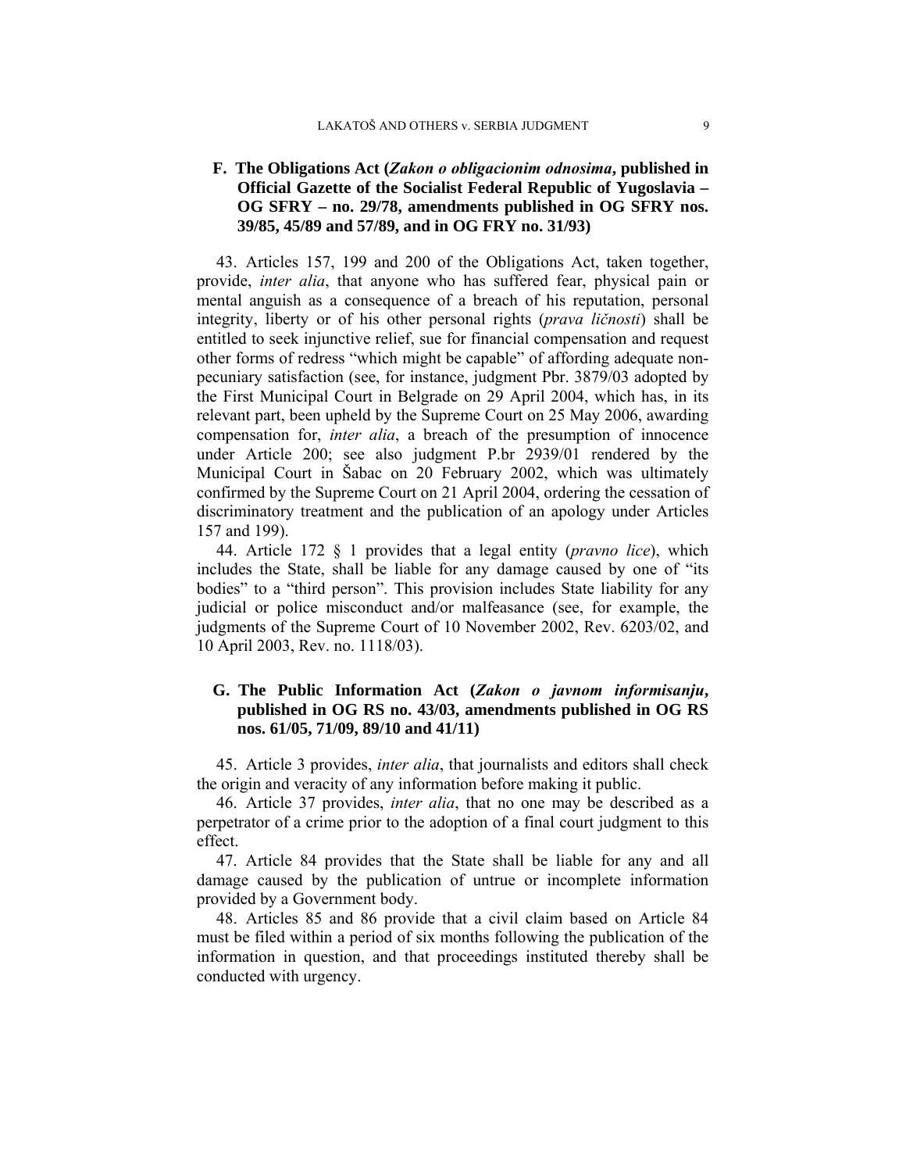## **F. The Obligations Act (***Zakon o obligacionim odnosima***, published in Official Gazette of the Socialist Federal Republic of Yugoslavia – OG SFRY – no. 29/78, amendments published in OG SFRY nos. 39/85, 45/89 and 57/89, and in OG FRY no. 31/93)**

43. Articles 157, 199 and 200 of the Obligations Act, taken together, provide, *inter alia*, that anyone who has suffered fear, physical pain or mental anguish as a consequence of a breach of his reputation, personal integrity, liberty or of his other personal rights (*prava ličnosti*) shall be entitled to seek injunctive relief, sue for financial compensation and request other forms of redress "which might be capable" of affording adequate nonpecuniary satisfaction (see, for instance, judgment Pbr. 3879/03 adopted by the First Municipal Court in Belgrade on 29 April 2004, which has, in its relevant part, been upheld by the Supreme Court on 25 May 2006, awarding compensation for, *inter alia*, a breach of the presumption of innocence under Article 200; see also judgment P.br 2939/01 rendered by the Municipal Court in Šabac on 20 February 2002, which was ultimately confirmed by the Supreme Court on 21 April 2004, ordering the cessation of discriminatory treatment and the publication of an apology under Articles 157 and 199).

44. Article 172 § 1 provides that a legal entity (*pravno lice*), which includes the State, shall be liable for any damage caused by one of "its bodies" to a "third person". This provision includes State liability for any judicial or police misconduct and/or malfeasance (see, for example, the judgments of the Supreme Court of 10 November 2002, Rev. 6203/02, and 10 April 2003, Rev. no. 1118/03).

## **G. The Public Information Act (***Zakon o javnom informisanju***, published in OG RS no. 43/03, amendments published in OG RS nos. 61/05, 71/09, 89/10 and 41/11)**

45. Article 3 provides, *inter alia*, that journalists and editors shall check the origin and veracity of any information before making it public.

46. Article 37 provides, *inter alia*, that no one may be described as a perpetrator of a crime prior to the adoption of a final court judgment to this effect.

47. Article 84 provides that the State shall be liable for any and all damage caused by the publication of untrue or incomplete information provided by a Government body.

48. Articles 85 and 86 provide that a civil claim based on Article 84 must be filed within a period of six months following the publication of the information in question, and that proceedings instituted thereby shall be conducted with urgency.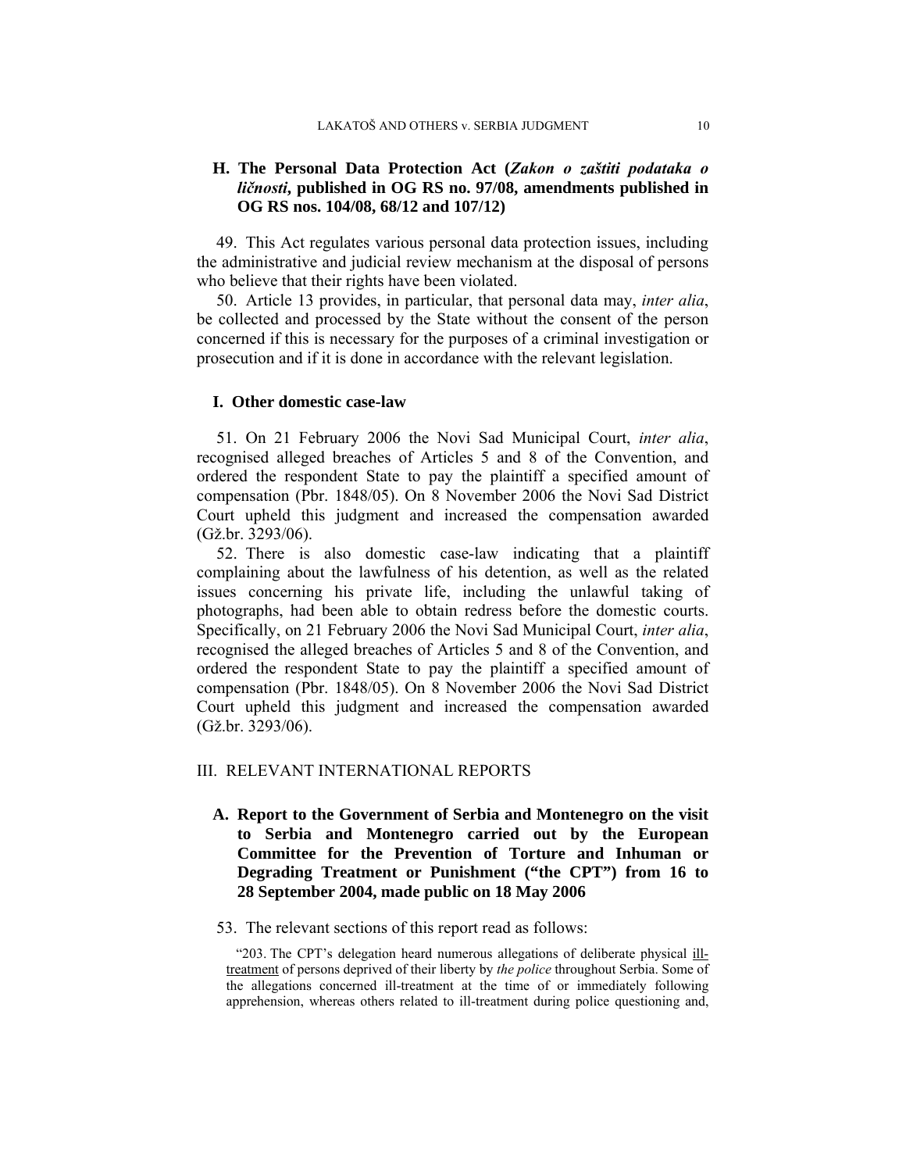## **H. The Personal Data Protection Act (***Zakon o zaštiti podataka o ličnosti***, published in OG RS no. 97/08, amendments published in OG RS nos. 104/08, 68/12 and 107/12)**

49. This Act regulates various personal data protection issues, including the administrative and judicial review mechanism at the disposal of persons who believe that their rights have been violated.

50. Article 13 provides, in particular, that personal data may, *inter alia*, be collected and processed by the State without the consent of the person concerned if this is necessary for the purposes of a criminal investigation or prosecution and if it is done in accordance with the relevant legislation.

### **I. Other domestic case-law**

51. On 21 February 2006 the Novi Sad Municipal Court, *inter alia*, recognised alleged breaches of Articles 5 and 8 of the Convention, and ordered the respondent State to pay the plaintiff a specified amount of compensation (Pbr. 1848/05). On 8 November 2006 the Novi Sad District Court upheld this judgment and increased the compensation awarded (Gž.br. 3293/06).

52. There is also domestic case-law indicating that a plaintiff complaining about the lawfulness of his detention, as well as the related issues concerning his private life, including the unlawful taking of photographs, had been able to obtain redress before the domestic courts. Specifically, on 21 February 2006 the Novi Sad Municipal Court, *inter alia*, recognised the alleged breaches of Articles 5 and 8 of the Convention, and ordered the respondent State to pay the plaintiff a specified amount of compensation (Pbr. 1848/05). On 8 November 2006 the Novi Sad District Court upheld this judgment and increased the compensation awarded (Gž.br. 3293/06).

### III. RELEVANT INTERNATIONAL REPORTS

- **A. Report to the Government of Serbia and Montenegro on the visit to Serbia and Montenegro carried out by the European Committee for the Prevention of Torture and Inhuman or Degrading Treatment or Punishment ("the CPT") from 16 to 28 September 2004, made public on 18 May 2006**
- 53. The relevant sections of this report read as follows:

"203. The CPT's delegation heard numerous allegations of deliberate physical illtreatment of persons deprived of their liberty by *the police* throughout Serbia. Some of the allegations concerned ill-treatment at the time of or immediately following apprehension, whereas others related to ill-treatment during police questioning and,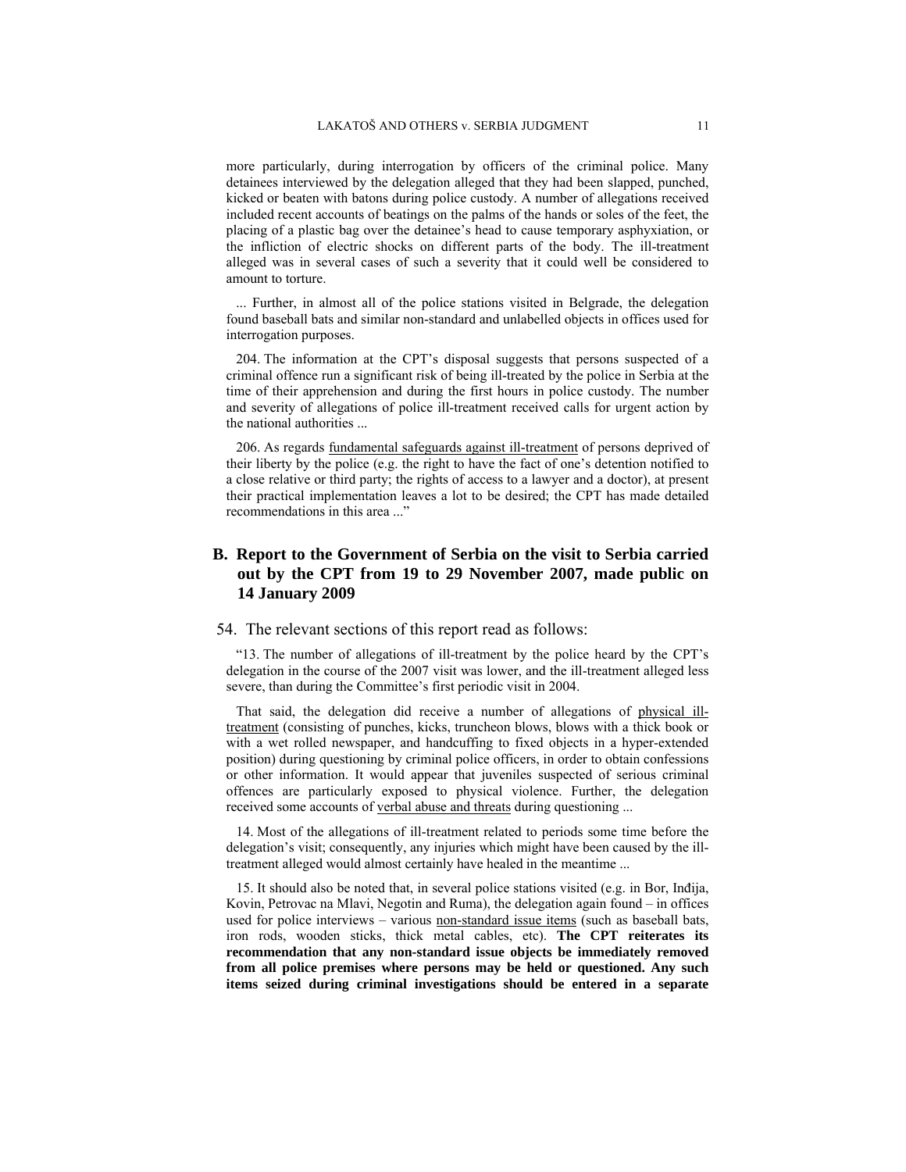more particularly, during interrogation by officers of the criminal police. Many detainees interviewed by the delegation alleged that they had been slapped, punched, kicked or beaten with batons during police custody. A number of allegations received included recent accounts of beatings on the palms of the hands or soles of the feet, the placing of a plastic bag over the detainee's head to cause temporary asphyxiation, or the infliction of electric shocks on different parts of the body. The ill-treatment alleged was in several cases of such a severity that it could well be considered to amount to torture.

... Further, in almost all of the police stations visited in Belgrade, the delegation found baseball bats and similar non-standard and unlabelled objects in offices used for interrogation purposes.

204. The information at the CPT's disposal suggests that persons suspected of a criminal offence run a significant risk of being ill-treated by the police in Serbia at the time of their apprehension and during the first hours in police custody. The number and severity of allegations of police ill-treatment received calls for urgent action by the national authorities ...

206. As regards fundamental safeguards against ill-treatment of persons deprived of their liberty by the police (e.g. the right to have the fact of one's detention notified to a close relative or third party; the rights of access to a lawyer and a doctor), at present their practical implementation leaves a lot to be desired; the CPT has made detailed recommendations in this area ..."

## **B. Report to the Government of Serbia on the visit to Serbia carried out by the CPT from 19 to 29 November 2007, made public on 14 January 2009**

#### 54. The relevant sections of this report read as follows:

"13. The number of allegations of ill-treatment by the police heard by the CPT's delegation in the course of the 2007 visit was lower, and the ill-treatment alleged less severe, than during the Committee's first periodic visit in 2004.

That said, the delegation did receive a number of allegations of physical illtreatment (consisting of punches, kicks, truncheon blows, blows with a thick book or with a wet rolled newspaper, and handcuffing to fixed objects in a hyper-extended position) during questioning by criminal police officers, in order to obtain confessions or other information. It would appear that juveniles suspected of serious criminal offences are particularly exposed to physical violence. Further, the delegation received some accounts of verbal abuse and threats during questioning ...

14. Most of the allegations of ill-treatment related to periods some time before the delegation's visit; consequently, any injuries which might have been caused by the illtreatment alleged would almost certainly have healed in the meantime ...

15. It should also be noted that, in several police stations visited (e.g. in Bor, Inđija, Kovin, Petrovac na Mlavi, Negotin and Ruma), the delegation again found – in offices used for police interviews – various non-standard issue items (such as baseball bats, iron rods, wooden sticks, thick metal cables, etc). **The CPT reiterates its recommendation that any non-standard issue objects be immediately removed from all police premises where persons may be held or questioned. Any such items seized during criminal investigations should be entered in a separate**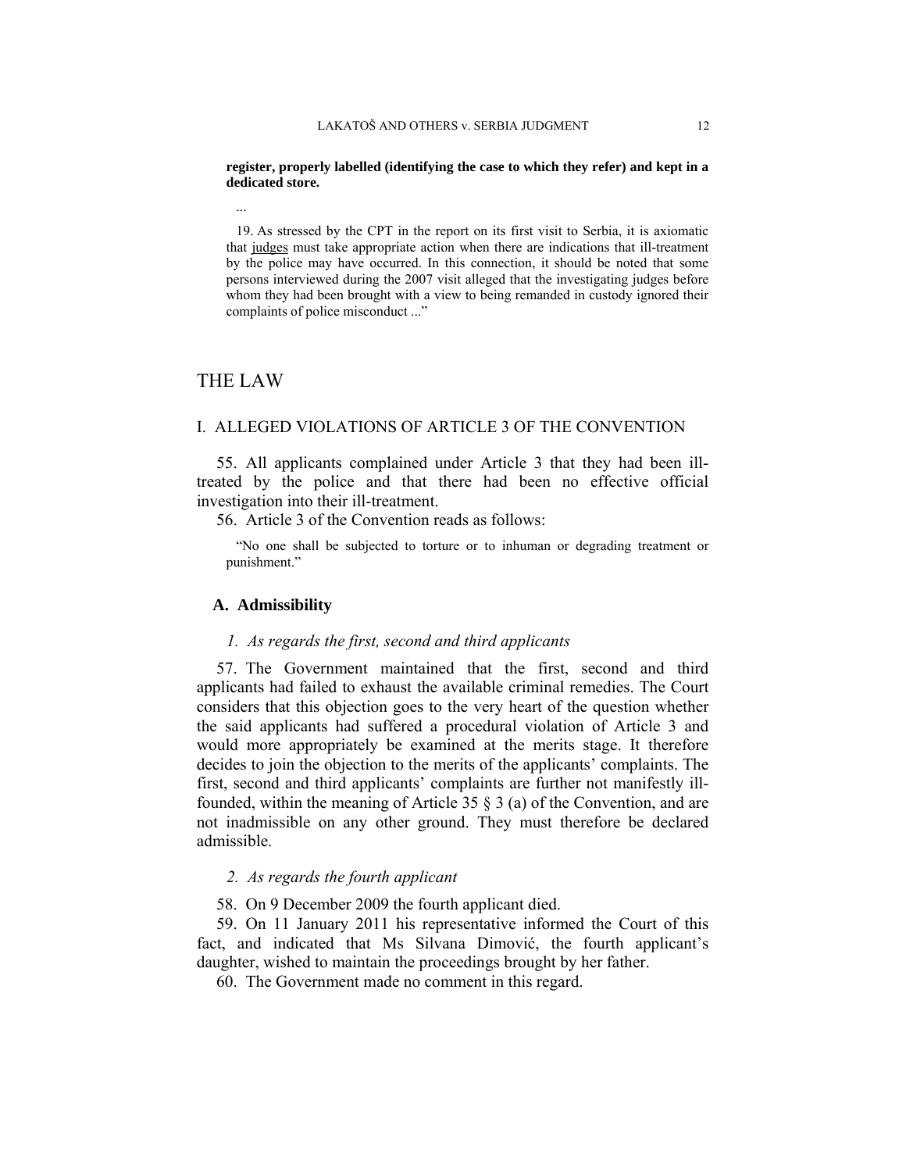#### **register, properly labelled (identifying the case to which they refer) and kept in a dedicated store.**

19. As stressed by the CPT in the report on its first visit to Serbia, it is axiomatic that judges must take appropriate action when there are indications that ill-treatment by the police may have occurred. In this connection, it should be noted that some persons interviewed during the 2007 visit alleged that the investigating judges before whom they had been brought with a view to being remanded in custody ignored their complaints of police misconduct ..."

## THE LAW

...

#### I. ALLEGED VIOLATIONS OF ARTICLE 3 OF THE CONVENTION

55. All applicants complained under Article 3 that they had been illtreated by the police and that there had been no effective official investigation into their ill-treatment.

56. Article 3 of the Convention reads as follows:

"No one shall be subjected to torture or to inhuman or degrading treatment or punishment."

#### **A. Admissibility**

#### *1. As regards the first, second and third applicants*

57. The Government maintained that the first, second and third applicants had failed to exhaust the available criminal remedies. The Court considers that this objection goes to the very heart of the question whether the said applicants had suffered a procedural violation of Article 3 and would more appropriately be examined at the merits stage. It therefore decides to join the objection to the merits of the applicants' complaints. The first, second and third applicants' complaints are further not manifestly illfounded, within the meaning of Article 35 § 3 (a) of the Convention, and are not inadmissible on any other ground. They must therefore be declared admissible.

### *2. As regards the fourth applicant*

58. On 9 December 2009 the fourth applicant died.

59. On 11 January 2011 his representative informed the Court of this fact, and indicated that Ms Silvana Dimović, the fourth applicant's daughter, wished to maintain the proceedings brought by her father.

60. The Government made no comment in this regard.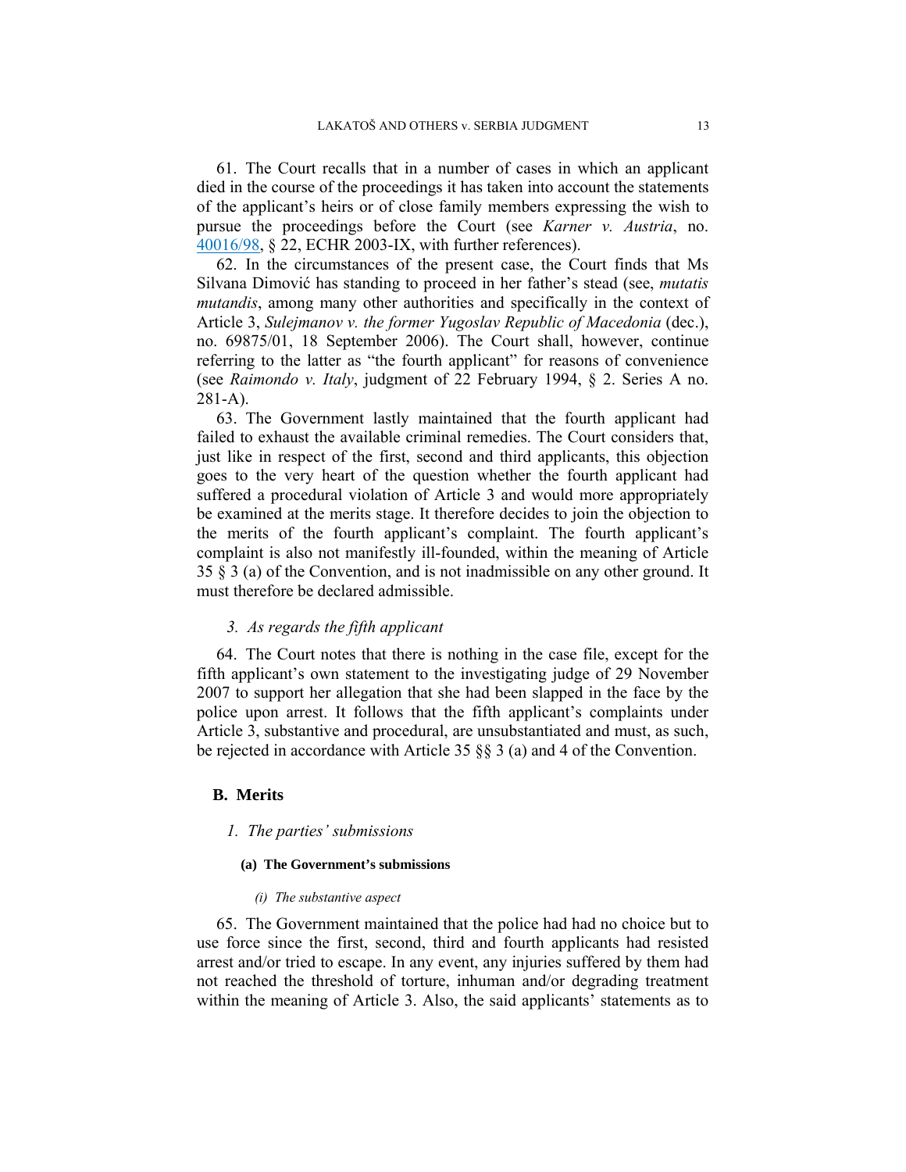61. The Court recalls that in a number of cases in which an applicant died in the course of the proceedings it has taken into account the statements of the applicant's heirs or of close family members expressing the wish to pursue the proceedings before the Court (see *Karner v. Austria*, no. 40016/98, § 22, ECHR 2003-IX, with further references).

62. In the circumstances of the present case, the Court finds that Ms Silvana Dimović has standing to proceed in her father's stead (see, *mutatis mutandis*, among many other authorities and specifically in the context of Article 3, *Sulejmanov v. the former Yugoslav Republic of Macedonia* (dec.), no. 69875/01, 18 September 2006). The Court shall, however, continue referring to the latter as "the fourth applicant" for reasons of convenience (see *Raimondo v. Italy*, judgment of 22 February 1994, § 2. Series A no. 281-A).

63. The Government lastly maintained that the fourth applicant had failed to exhaust the available criminal remedies. The Court considers that, just like in respect of the first, second and third applicants, this objection goes to the very heart of the question whether the fourth applicant had suffered a procedural violation of Article 3 and would more appropriately be examined at the merits stage. It therefore decides to join the objection to the merits of the fourth applicant's complaint. The fourth applicant's complaint is also not manifestly ill-founded, within the meaning of Article 35 § 3 (a) of the Convention, and is not inadmissible on any other ground. It must therefore be declared admissible.

### *3. As regards the fifth applicant*

64. The Court notes that there is nothing in the case file, except for the fifth applicant's own statement to the investigating judge of 29 November 2007 to support her allegation that she had been slapped in the face by the police upon arrest. It follows that the fifth applicant's complaints under Article 3, substantive and procedural, are unsubstantiated and must, as such, be rejected in accordance with Article 35 §§ 3 (a) and 4 of the Convention.

### **B. Merits**

### *1. The parties' submissions*

#### **(a) The Government's submissions**

#### *(i) The substantive aspect*

65. The Government maintained that the police had had no choice but to use force since the first, second, third and fourth applicants had resisted arrest and/or tried to escape. In any event, any injuries suffered by them had not reached the threshold of torture, inhuman and/or degrading treatment within the meaning of Article 3. Also, the said applicants' statements as to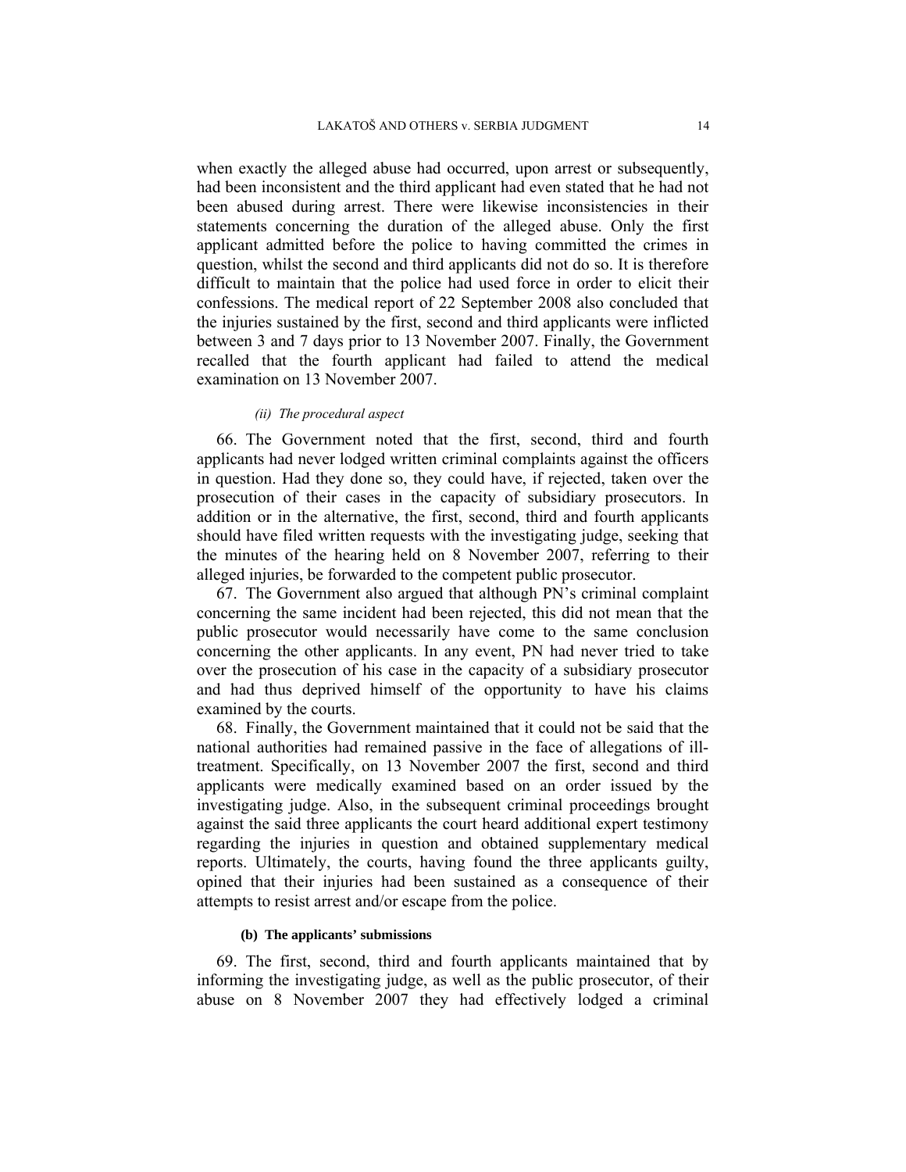when exactly the alleged abuse had occurred, upon arrest or subsequently, had been inconsistent and the third applicant had even stated that he had not been abused during arrest. There were likewise inconsistencies in their statements concerning the duration of the alleged abuse. Only the first applicant admitted before the police to having committed the crimes in question, whilst the second and third applicants did not do so. It is therefore difficult to maintain that the police had used force in order to elicit their confessions. The medical report of 22 September 2008 also concluded that the injuries sustained by the first, second and third applicants were inflicted between 3 and 7 days prior to 13 November 2007. Finally, the Government recalled that the fourth applicant had failed to attend the medical examination on 13 November 2007.

### *(ii) The procedural aspect*

66. The Government noted that the first, second, third and fourth applicants had never lodged written criminal complaints against the officers in question. Had they done so, they could have, if rejected, taken over the prosecution of their cases in the capacity of subsidiary prosecutors. In addition or in the alternative, the first, second, third and fourth applicants should have filed written requests with the investigating judge, seeking that the minutes of the hearing held on 8 November 2007, referring to their alleged injuries, be forwarded to the competent public prosecutor.

67. The Government also argued that although PN's criminal complaint concerning the same incident had been rejected, this did not mean that the public prosecutor would necessarily have come to the same conclusion concerning the other applicants. In any event, PN had never tried to take over the prosecution of his case in the capacity of a subsidiary prosecutor and had thus deprived himself of the opportunity to have his claims examined by the courts.

68. Finally, the Government maintained that it could not be said that the national authorities had remained passive in the face of allegations of illtreatment. Specifically, on 13 November 2007 the first, second and third applicants were medically examined based on an order issued by the investigating judge. Also, in the subsequent criminal proceedings brought against the said three applicants the court heard additional expert testimony regarding the injuries in question and obtained supplementary medical reports. Ultimately, the courts, having found the three applicants guilty, opined that their injuries had been sustained as a consequence of their attempts to resist arrest and/or escape from the police.

### **(b) The applicants' submissions**

69. The first, second, third and fourth applicants maintained that by informing the investigating judge, as well as the public prosecutor, of their abuse on 8 November 2007 they had effectively lodged a criminal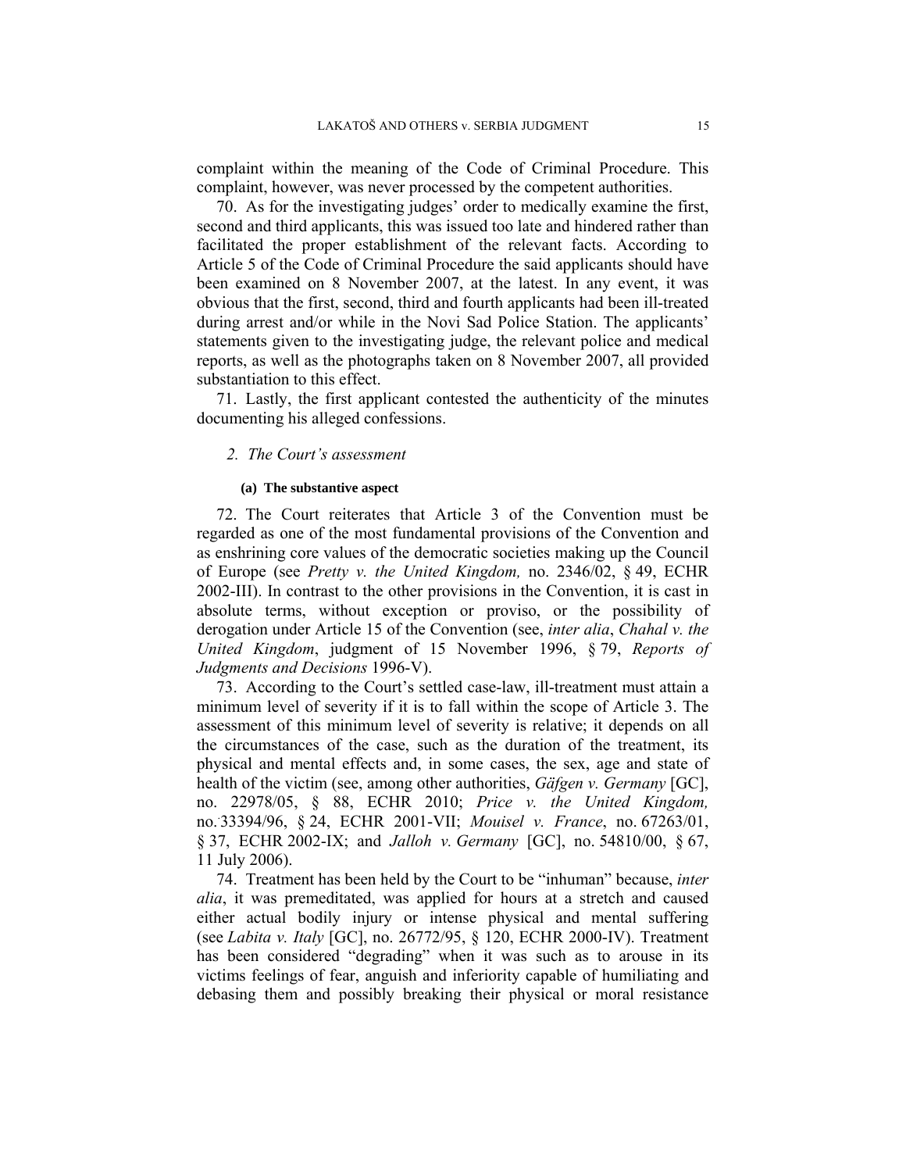complaint within the meaning of the Code of Criminal Procedure. This complaint, however, was never processed by the competent authorities.

70. As for the investigating judges' order to medically examine the first, second and third applicants, this was issued too late and hindered rather than facilitated the proper establishment of the relevant facts. According to Article 5 of the Code of Criminal Procedure the said applicants should have been examined on 8 November 2007, at the latest. In any event, it was obvious that the first, second, third and fourth applicants had been ill-treated during arrest and/or while in the Novi Sad Police Station. The applicants' statements given to the investigating judge, the relevant police and medical reports, as well as the photographs taken on 8 November 2007, all provided substantiation to this effect.

71. Lastly, the first applicant contested the authenticity of the minutes documenting his alleged confessions.

### *2. The Court's assessment*

#### **(a) The substantive aspect**

72. The Court reiterates that Article 3 of the Convention must be regarded as one of the most fundamental provisions of the Convention and as enshrining core values of the democratic societies making up the Council of Europe (see *Pretty v. the United Kingdom,* no. 2346/02, § 49, ECHR 2002-III). In contrast to the other provisions in the Convention, it is cast in absolute terms, without exception or proviso, or the possibility of derogation under Article 15 of the Convention (see, *inter alia*, *Chahal v. the United Kingdom*, judgment of 15 November 1996, § 79, *Reports of Judgments and Decisions* 1996-V).

73. According to the Court's settled case-law, ill-treatment must attain a minimum level of severity if it is to fall within the scope of Article 3. The assessment of this minimum level of severity is relative; it depends on all the circumstances of the case, such as the duration of the treatment, its physical and mental effects and, in some cases, the sex, age and state of health of the victim (see, among other authorities, *Gäfgen v. Germany* [GC], no. 22978/05, § 88, ECHR 2010; *Price v. the United Kingdom,*  no.. 33394/96, § 24, ECHR 2001-VII; *Mouisel v. France*, no. 67263/01, § 37, ECHR 2002-IX; and *Jalloh v. Germany* [GC], no. 54810/00, § 67, 11 July 2006).

74. Treatment has been held by the Court to be "inhuman" because, *inter alia*, it was premeditated, was applied for hours at a stretch and caused either actual bodily injury or intense physical and mental suffering (see *Labita v. Italy* [GC], no. 26772/95, § 120, ECHR 2000-IV). Treatment has been considered "degrading" when it was such as to arouse in its victims feelings of fear, anguish and inferiority capable of humiliating and debasing them and possibly breaking their physical or moral resistance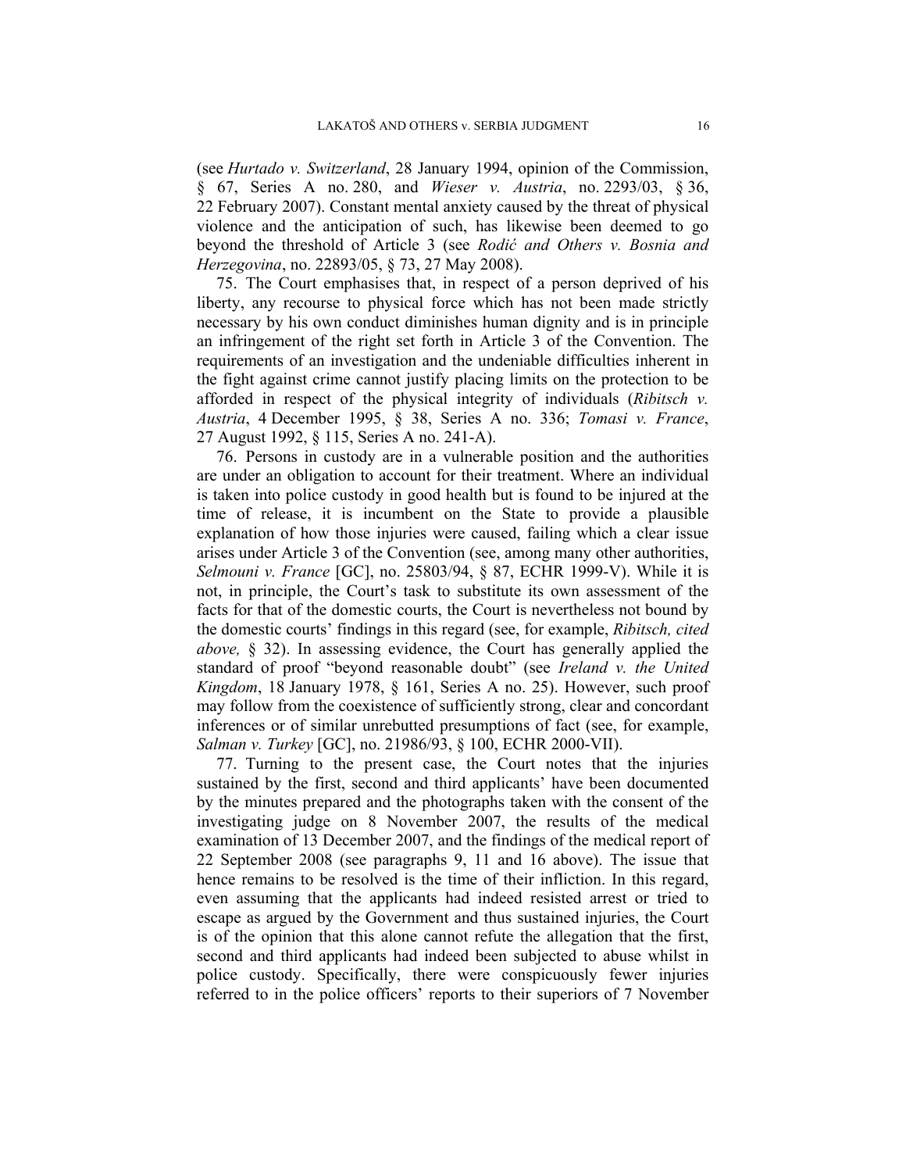(see *Hurtado v. Switzerland*, 28 January 1994, opinion of the Commission, § 67, Series A no. 280, and *Wieser v. Austria*, no. 2293/03, § 36, 22 February 2007). Constant mental anxiety caused by the threat of physical violence and the anticipation of such, has likewise been deemed to go beyond the threshold of Article 3 (see *Rodić and Others v. Bosnia and Herzegovina*, no. 22893/05, § 73, 27 May 2008).

75. The Court emphasises that, in respect of a person deprived of his liberty, any recourse to physical force which has not been made strictly necessary by his own conduct diminishes human dignity and is in principle an infringement of the right set forth in Article 3 of the Convention. The requirements of an investigation and the undeniable difficulties inherent in the fight against crime cannot justify placing limits on the protection to be afforded in respect of the physical integrity of individuals (*Ribitsch v. Austria*, 4 December 1995, § 38, Series A no. 336; *Tomasi v. France*, 27 August 1992, § 115, Series A no. 241-A).

76. Persons in custody are in a vulnerable position and the authorities are under an obligation to account for their treatment. Where an individual is taken into police custody in good health but is found to be injured at the time of release, it is incumbent on the State to provide a plausible explanation of how those injuries were caused, failing which a clear issue arises under Article 3 of the Convention (see, among many other authorities, *Selmouni v. France* [GC], no. 25803/94, § 87, ECHR 1999-V). While it is not, in principle, the Court's task to substitute its own assessment of the facts for that of the domestic courts, the Court is nevertheless not bound by the domestic courts' findings in this regard (see, for example, *Ribitsch, cited above,* § 32). In assessing evidence, the Court has generally applied the standard of proof "beyond reasonable doubt" (see *Ireland v. the United Kingdom*, 18 January 1978, § 161, Series A no. 25). However, such proof may follow from the coexistence of sufficiently strong, clear and concordant inferences or of similar unrebutted presumptions of fact (see, for example, *Salman v. Turkey* [GC], no. 21986/93, § 100, ECHR 2000-VII).

77. Turning to the present case, the Court notes that the injuries sustained by the first, second and third applicants' have been documented by the minutes prepared and the photographs taken with the consent of the investigating judge on 8 November 2007, the results of the medical examination of 13 December 2007, and the findings of the medical report of 22 September 2008 (see paragraphs 9, 11 and 16 above). The issue that hence remains to be resolved is the time of their infliction. In this regard, even assuming that the applicants had indeed resisted arrest or tried to escape as argued by the Government and thus sustained injuries, the Court is of the opinion that this alone cannot refute the allegation that the first, second and third applicants had indeed been subjected to abuse whilst in police custody. Specifically, there were conspicuously fewer injuries referred to in the police officers' reports to their superiors of 7 November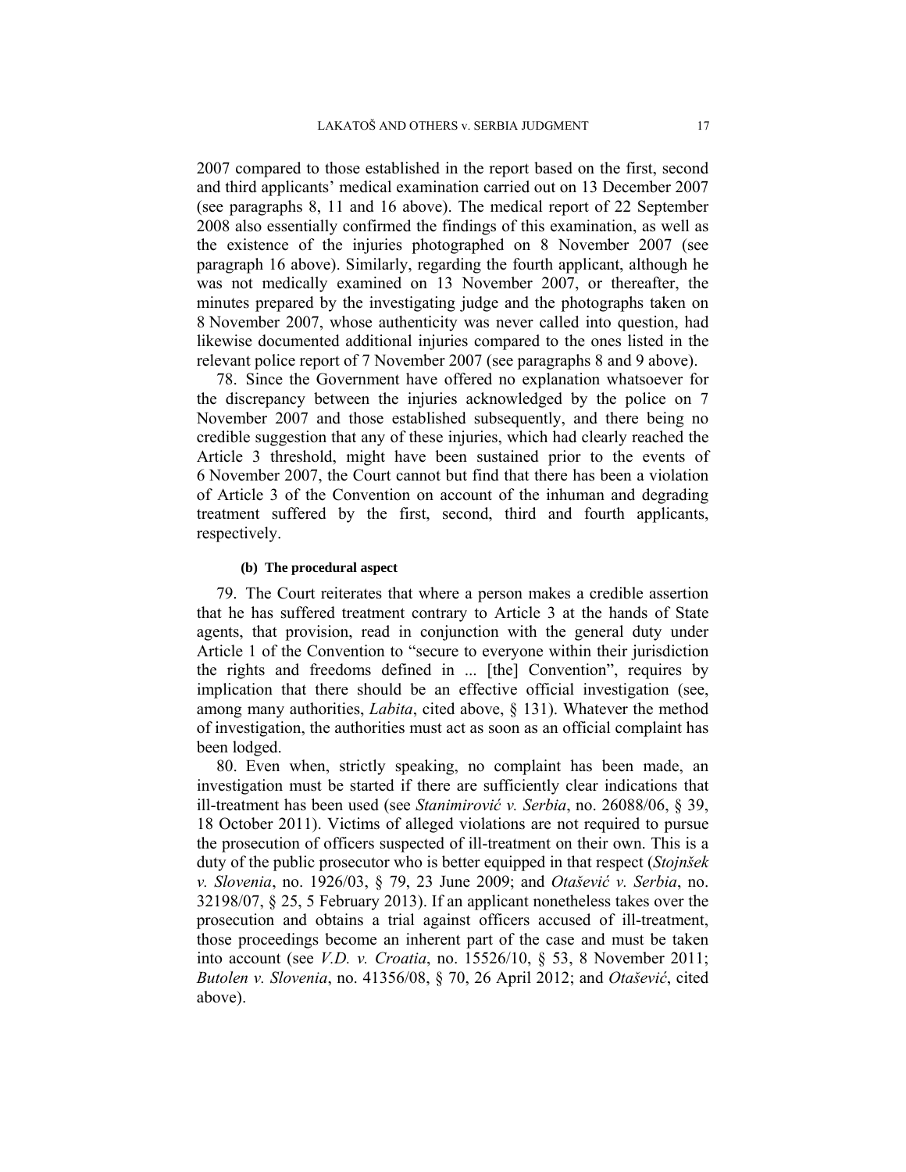2007 compared to those established in the report based on the first, second and third applicants' medical examination carried out on 13 December 2007 (see paragraphs 8, 11 and 16 above). The medical report of 22 September 2008 also essentially confirmed the findings of this examination, as well as the existence of the injuries photographed on 8 November 2007 (see paragraph 16 above). Similarly, regarding the fourth applicant, although he was not medically examined on 13 November 2007, or thereafter, the minutes prepared by the investigating judge and the photographs taken on 8 November 2007, whose authenticity was never called into question, had likewise documented additional injuries compared to the ones listed in the relevant police report of 7 November 2007 (see paragraphs 8 and 9 above).

78. Since the Government have offered no explanation whatsoever for the discrepancy between the injuries acknowledged by the police on 7 November 2007 and those established subsequently, and there being no credible suggestion that any of these injuries, which had clearly reached the Article 3 threshold, might have been sustained prior to the events of 6 November 2007, the Court cannot but find that there has been a violation of Article 3 of the Convention on account of the inhuman and degrading treatment suffered by the first, second, third and fourth applicants, respectively.

### **(b) The procedural aspect**

79. The Court reiterates that where a person makes a credible assertion that he has suffered treatment contrary to Article 3 at the hands of State agents, that provision, read in conjunction with the general duty under Article 1 of the Convention to "secure to everyone within their jurisdiction the rights and freedoms defined in ... [the] Convention", requires by implication that there should be an effective official investigation (see, among many authorities, *Labita*, cited above, § 131). Whatever the method of investigation, the authorities must act as soon as an official complaint has been lodged.

80. Even when, strictly speaking, no complaint has been made, an investigation must be started if there are sufficiently clear indications that ill-treatment has been used (see *Stanimirović v. Serbia*, no. 26088/06, § 39, 18 October 2011). Victims of alleged violations are not required to pursue the prosecution of officers suspected of ill-treatment on their own. This is a duty of the public prosecutor who is better equipped in that respect (*Stojnšek v. Slovenia*, no. 1926/03, § 79, 23 June 2009; and *Otašević v. Serbia*, no. 32198/07, § 25, 5 February 2013). If an applicant nonetheless takes over the prosecution and obtains a trial against officers accused of ill-treatment, those proceedings become an inherent part of the case and must be taken into account (see *V.D. v. Croatia*, no. 15526/10, § 53, 8 November 2011; *Butolen v. Slovenia*, no. 41356/08, § 70, 26 April 2012; and *Otašević*, cited above).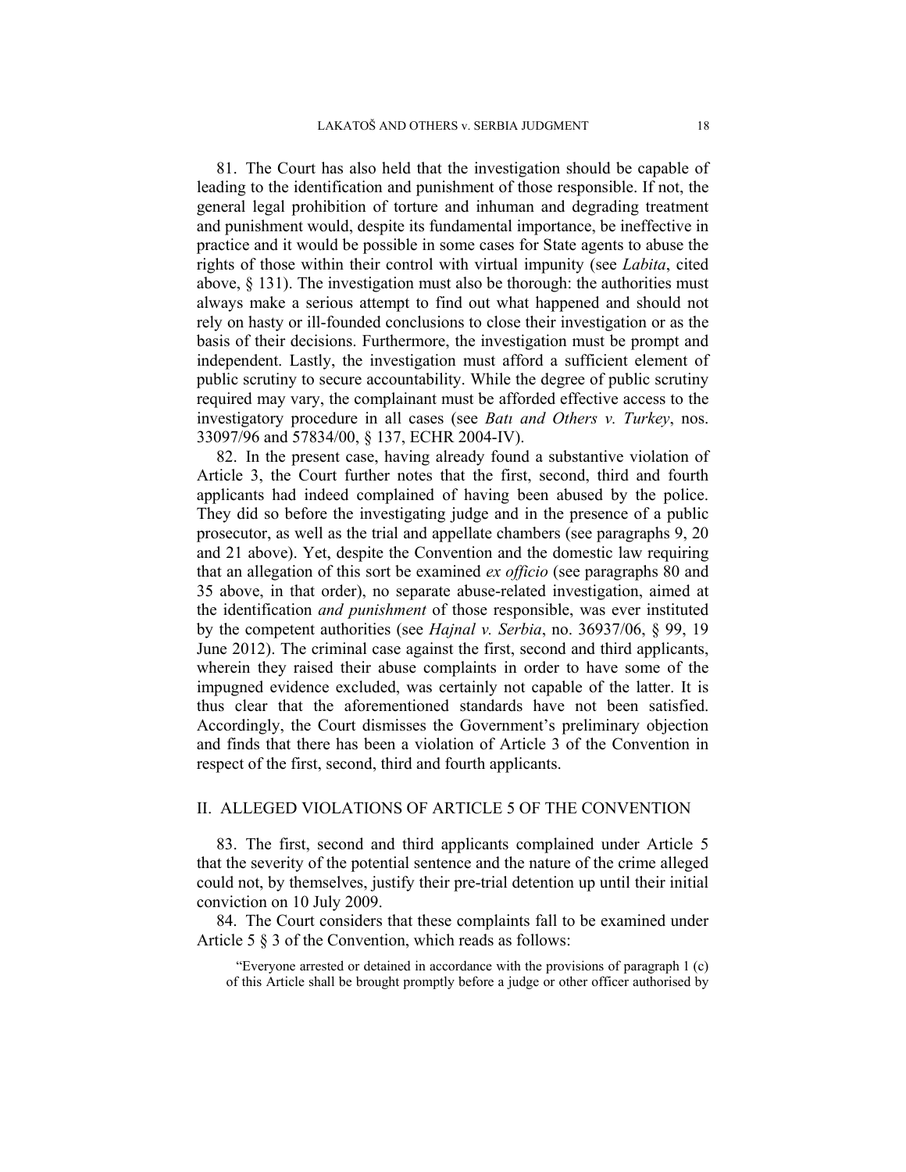81. The Court has also held that the investigation should be capable of leading to the identification and punishment of those responsible. If not, the general legal prohibition of torture and inhuman and degrading treatment and punishment would, despite its fundamental importance, be ineffective in practice and it would be possible in some cases for State agents to abuse the rights of those within their control with virtual impunity (see *Labita*, cited above, § 131). The investigation must also be thorough: the authorities must always make a serious attempt to find out what happened and should not rely on hasty or ill-founded conclusions to close their investigation or as the basis of their decisions. Furthermore, the investigation must be prompt and independent. Lastly, the investigation must afford a sufficient element of public scrutiny to secure accountability. While the degree of public scrutiny required may vary, the complainant must be afforded effective access to the investigatory procedure in all cases (see *Batı and Others v. Turkey*, nos. 33097/96 and 57834/00, § 137, ECHR 2004-IV).

82. In the present case, having already found a substantive violation of Article 3, the Court further notes that the first, second, third and fourth applicants had indeed complained of having been abused by the police. They did so before the investigating judge and in the presence of a public prosecutor, as well as the trial and appellate chambers (see paragraphs 9, 20 and 21 above). Yet, despite the Convention and the domestic law requiring that an allegation of this sort be examined *ex officio* (see paragraphs 80 and 35 above, in that order), no separate abuse-related investigation, aimed at the identification *and punishment* of those responsible, was ever instituted by the competent authorities (see *Hajnal v. Serbia*, no. 36937/06, § 99, 19 June 2012). The criminal case against the first, second and third applicants, wherein they raised their abuse complaints in order to have some of the impugned evidence excluded, was certainly not capable of the latter. It is thus clear that the aforementioned standards have not been satisfied. Accordingly, the Court dismisses the Government's preliminary objection and finds that there has been a violation of Article 3 of the Convention in respect of the first, second, third and fourth applicants.

## II. ALLEGED VIOLATIONS OF ARTICLE 5 OF THE CONVENTION

83. The first, second and third applicants complained under Article 5 that the severity of the potential sentence and the nature of the crime alleged could not, by themselves, justify their pre-trial detention up until their initial conviction on 10 July 2009.

84. The Court considers that these complaints fall to be examined under Article 5 § 3 of the Convention, which reads as follows:

"Everyone arrested or detained in accordance with the provisions of paragraph 1 (c) of this Article shall be brought promptly before a judge or other officer authorised by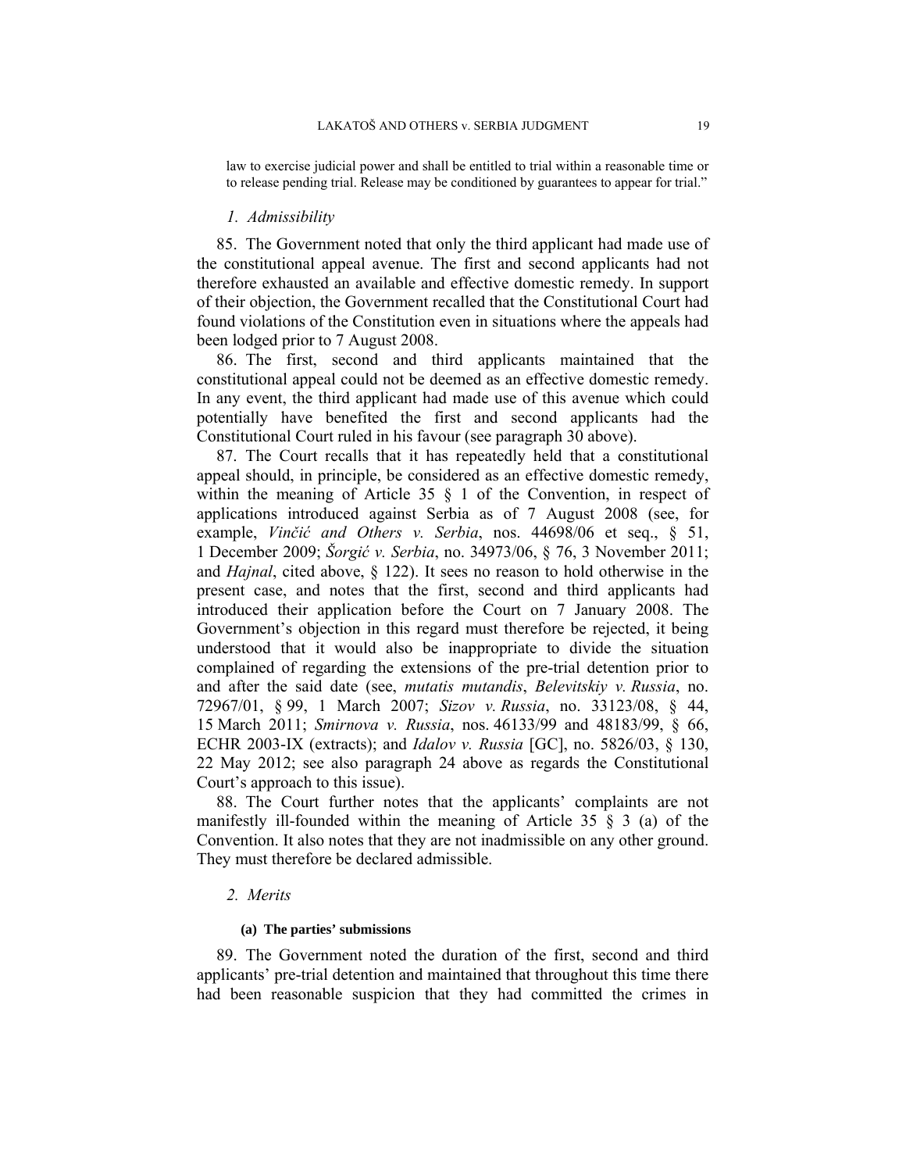law to exercise judicial power and shall be entitled to trial within a reasonable time or to release pending trial. Release may be conditioned by guarantees to appear for trial."

#### *1. Admissibility*

85. The Government noted that only the third applicant had made use of the constitutional appeal avenue. The first and second applicants had not therefore exhausted an available and effective domestic remedy. In support of their objection, the Government recalled that the Constitutional Court had found violations of the Constitution even in situations where the appeals had been lodged prior to 7 August 2008.

86. The first, second and third applicants maintained that the constitutional appeal could not be deemed as an effective domestic remedy. In any event, the third applicant had made use of this avenue which could potentially have benefited the first and second applicants had the Constitutional Court ruled in his favour (see paragraph 30 above).

87. The Court recalls that it has repeatedly held that a constitutional appeal should, in principle, be considered as an effective domestic remedy, within the meaning of Article 35 § 1 of the Convention, in respect of applications introduced against Serbia as of 7 August 2008 (see, for example, *Vinčić and Others v. Serbia*, nos. 44698/06 et seq., § 51, 1 December 2009; *Šorgić v. Serbia*, no. 34973/06, § 76, 3 November 2011; and *Hajnal*, cited above, § 122). It sees no reason to hold otherwise in the present case, and notes that the first, second and third applicants had introduced their application before the Court on 7 January 2008. The Government's objection in this regard must therefore be rejected, it being understood that it would also be inappropriate to divide the situation complained of regarding the extensions of the pre-trial detention prior to and after the said date (see, *mutatis mutandis*, *Belevitskiy v. Russia*, no. 72967/01, § 99, 1 March 2007; *Sizov v. Russia*, no. 33123/08, § 44, 15 March 2011; *Smirnova v. Russia*, nos. 46133/99 and 48183/99, § 66, ECHR 2003-IX (extracts); and *Idalov v. Russia* [GC], no. 5826/03, § 130, 22 May 2012; see also paragraph 24 above as regards the Constitutional Court's approach to this issue).

88. The Court further notes that the applicants' complaints are not manifestly ill-founded within the meaning of Article 35  $\S$  3 (a) of the Convention. It also notes that they are not inadmissible on any other ground. They must therefore be declared admissible.

### *2. Merits*

#### **(a) The parties' submissions**

89. The Government noted the duration of the first, second and third applicants' pre-trial detention and maintained that throughout this time there had been reasonable suspicion that they had committed the crimes in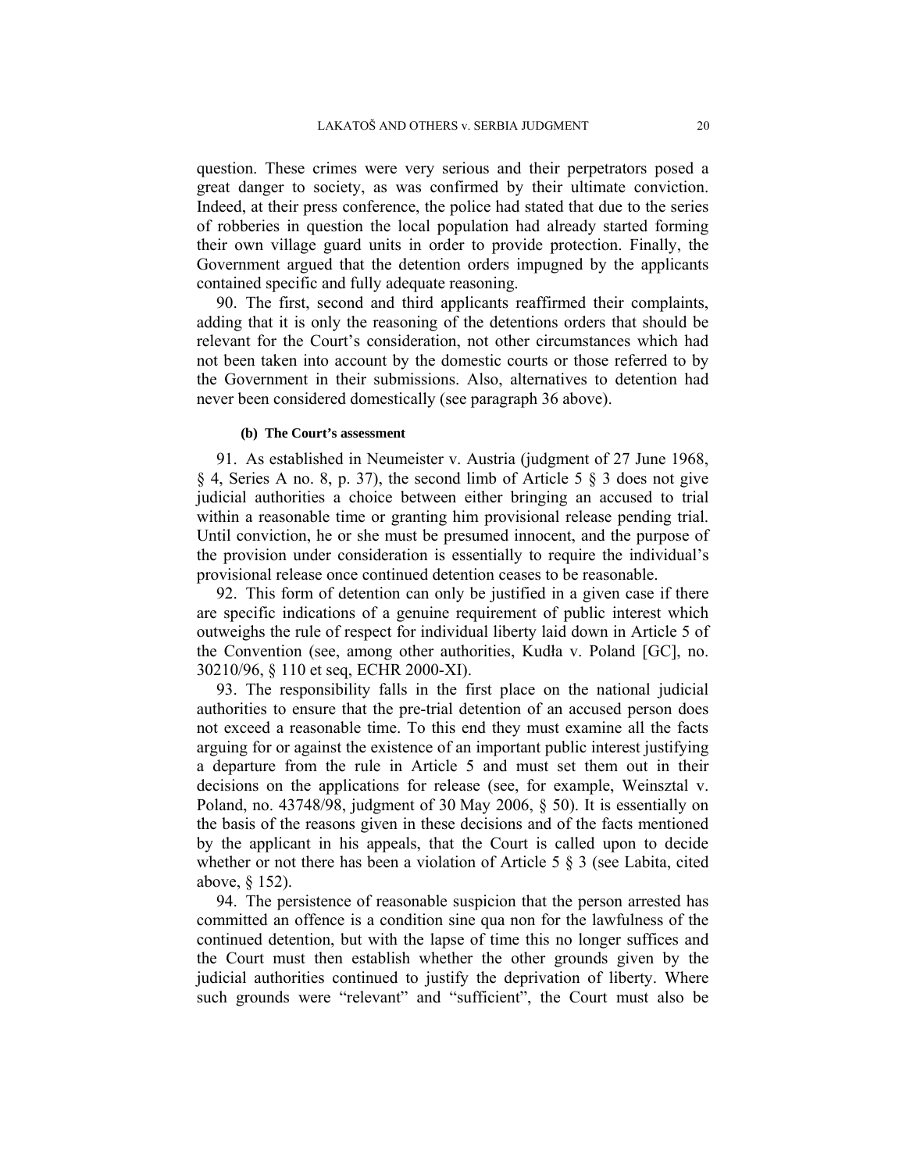question. These crimes were very serious and their perpetrators posed a great danger to society, as was confirmed by their ultimate conviction. Indeed, at their press conference, the police had stated that due to the series of robberies in question the local population had already started forming their own village guard units in order to provide protection. Finally, the Government argued that the detention orders impugned by the applicants contained specific and fully adequate reasoning.

90. The first, second and third applicants reaffirmed their complaints, adding that it is only the reasoning of the detentions orders that should be relevant for the Court's consideration, not other circumstances which had not been taken into account by the domestic courts or those referred to by the Government in their submissions. Also, alternatives to detention had never been considered domestically (see paragraph 36 above).

#### **(b) The Court's assessment**

91. As established in Neumeister v. Austria (judgment of 27 June 1968, § 4, Series A no. 8, p. 37), the second limb of Article 5 § 3 does not give judicial authorities a choice between either bringing an accused to trial within a reasonable time or granting him provisional release pending trial. Until conviction, he or she must be presumed innocent, and the purpose of the provision under consideration is essentially to require the individual's provisional release once continued detention ceases to be reasonable.

92. This form of detention can only be justified in a given case if there are specific indications of a genuine requirement of public interest which outweighs the rule of respect for individual liberty laid down in Article 5 of the Convention (see, among other authorities, Kudła v. Poland [GC], no. 30210/96, § 110 et seq, ECHR 2000-XI).

93. The responsibility falls in the first place on the national judicial authorities to ensure that the pre-trial detention of an accused person does not exceed a reasonable time. To this end they must examine all the facts arguing for or against the existence of an important public interest justifying a departure from the rule in Article 5 and must set them out in their decisions on the applications for release (see, for example, Weinsztal v. Poland, no. 43748/98, judgment of 30 May 2006, § 50). It is essentially on the basis of the reasons given in these decisions and of the facts mentioned by the applicant in his appeals, that the Court is called upon to decide whether or not there has been a violation of Article 5 § 3 (see Labita, cited above, § 152).

94. The persistence of reasonable suspicion that the person arrested has committed an offence is a condition sine qua non for the lawfulness of the continued detention, but with the lapse of time this no longer suffices and the Court must then establish whether the other grounds given by the judicial authorities continued to justify the deprivation of liberty. Where such grounds were "relevant" and "sufficient", the Court must also be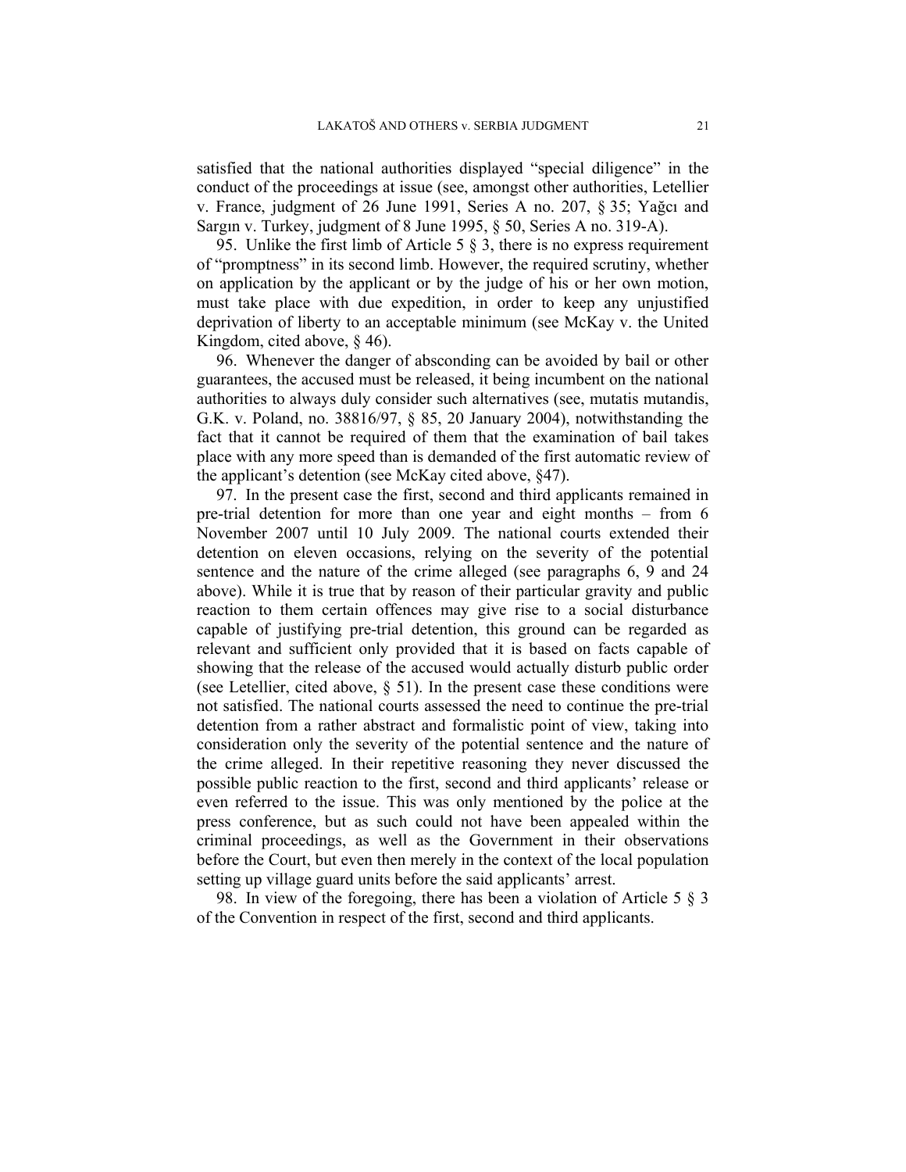satisfied that the national authorities displayed "special diligence" in the conduct of the proceedings at issue (see, amongst other authorities, Letellier v. France, judgment of 26 June 1991, Series A no. 207, § 35; Yağcı and Sargın v. Turkey, judgment of 8 June 1995, § 50, Series A no. 319-A).

95. Unlike the first limb of Article 5  $\S$  3, there is no express requirement of "promptness" in its second limb. However, the required scrutiny, whether on application by the applicant or by the judge of his or her own motion, must take place with due expedition, in order to keep any unjustified deprivation of liberty to an acceptable minimum (see McKay v. the United Kingdom, cited above, § 46).

96. Whenever the danger of absconding can be avoided by bail or other guarantees, the accused must be released, it being incumbent on the national authorities to always duly consider such alternatives (see, mutatis mutandis, G.K. v. Poland, no. 38816/97, § 85, 20 January 2004), notwithstanding the fact that it cannot be required of them that the examination of bail takes place with any more speed than is demanded of the first automatic review of the applicant's detention (see McKay cited above, §47).

97. In the present case the first, second and third applicants remained in pre-trial detention for more than one year and eight months – from 6 November 2007 until 10 July 2009. The national courts extended their detention on eleven occasions, relying on the severity of the potential sentence and the nature of the crime alleged (see paragraphs 6, 9 and 24 above). While it is true that by reason of their particular gravity and public reaction to them certain offences may give rise to a social disturbance capable of justifying pre-trial detention, this ground can be regarded as relevant and sufficient only provided that it is based on facts capable of showing that the release of the accused would actually disturb public order (see Letellier, cited above,  $\S$  51). In the present case these conditions were not satisfied. The national courts assessed the need to continue the pre-trial detention from a rather abstract and formalistic point of view, taking into consideration only the severity of the potential sentence and the nature of the crime alleged. In their repetitive reasoning they never discussed the possible public reaction to the first, second and third applicants' release or even referred to the issue. This was only mentioned by the police at the press conference, but as such could not have been appealed within the criminal proceedings, as well as the Government in their observations before the Court, but even then merely in the context of the local population setting up village guard units before the said applicants' arrest.

98. In view of the foregoing, there has been a violation of Article 5 § 3 of the Convention in respect of the first, second and third applicants.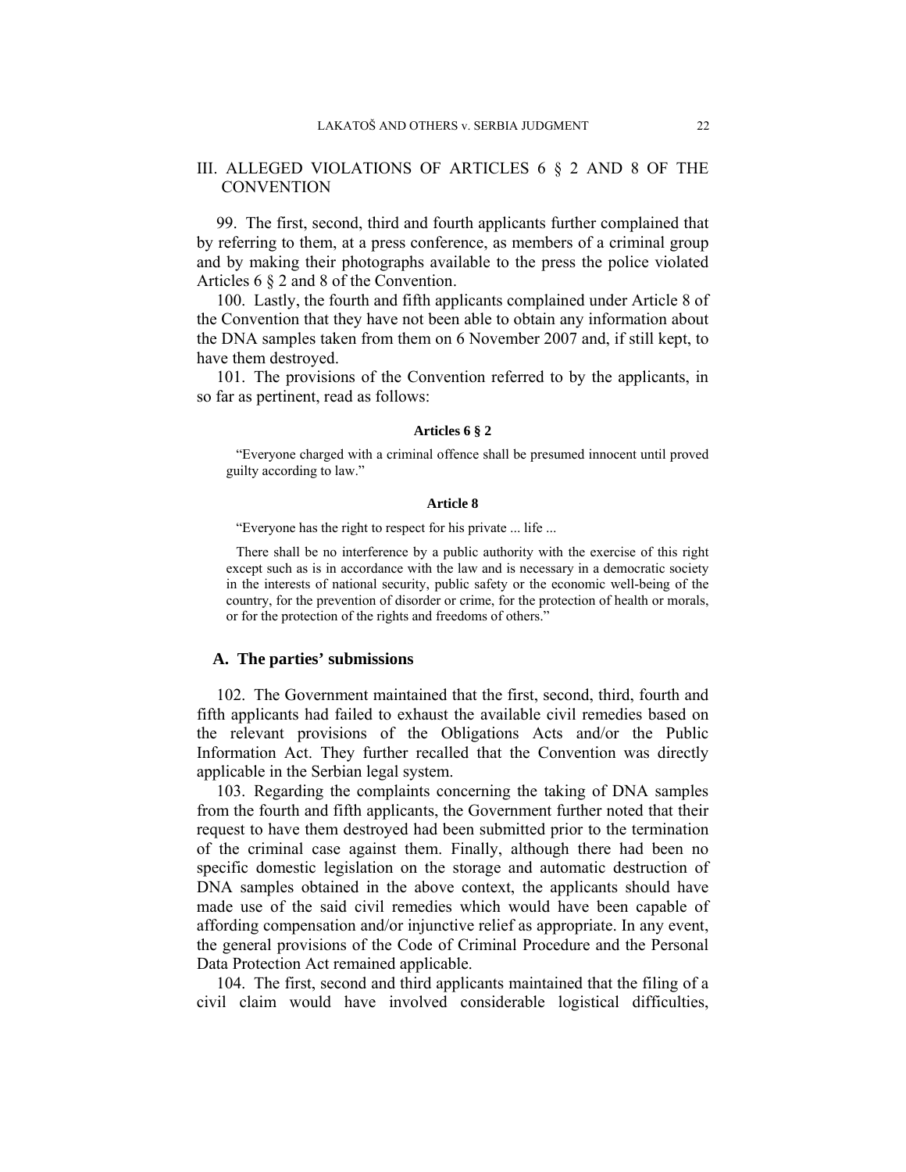## III. ALLEGED VIOLATIONS OF ARTICLES 6 § 2 AND 8 OF THE **CONVENTION**

99. The first, second, third and fourth applicants further complained that by referring to them, at a press conference, as members of a criminal group and by making their photographs available to the press the police violated Articles 6 § 2 and 8 of the Convention.

100. Lastly, the fourth and fifth applicants complained under Article 8 of the Convention that they have not been able to obtain any information about the DNA samples taken from them on 6 November 2007 and, if still kept, to have them destroyed.

101. The provisions of the Convention referred to by the applicants, in so far as pertinent, read as follows:

#### **Articles 6 § 2**

"Everyone charged with a criminal offence shall be presumed innocent until proved guilty according to law."

#### **Article 8**

"Everyone has the right to respect for his private ... life ...

There shall be no interference by a public authority with the exercise of this right except such as is in accordance with the law and is necessary in a democratic society in the interests of national security, public safety or the economic well-being of the country, for the prevention of disorder or crime, for the protection of health or morals, or for the protection of the rights and freedoms of others."

### **A. The parties' submissions**

102. The Government maintained that the first, second, third, fourth and fifth applicants had failed to exhaust the available civil remedies based on the relevant provisions of the Obligations Acts and/or the Public Information Act. They further recalled that the Convention was directly applicable in the Serbian legal system.

103. Regarding the complaints concerning the taking of DNA samples from the fourth and fifth applicants, the Government further noted that their request to have them destroyed had been submitted prior to the termination of the criminal case against them. Finally, although there had been no specific domestic legislation on the storage and automatic destruction of DNA samples obtained in the above context, the applicants should have made use of the said civil remedies which would have been capable of affording compensation and/or injunctive relief as appropriate. In any event, the general provisions of the Code of Criminal Procedure and the Personal Data Protection Act remained applicable.

104. The first, second and third applicants maintained that the filing of a civil claim would have involved considerable logistical difficulties,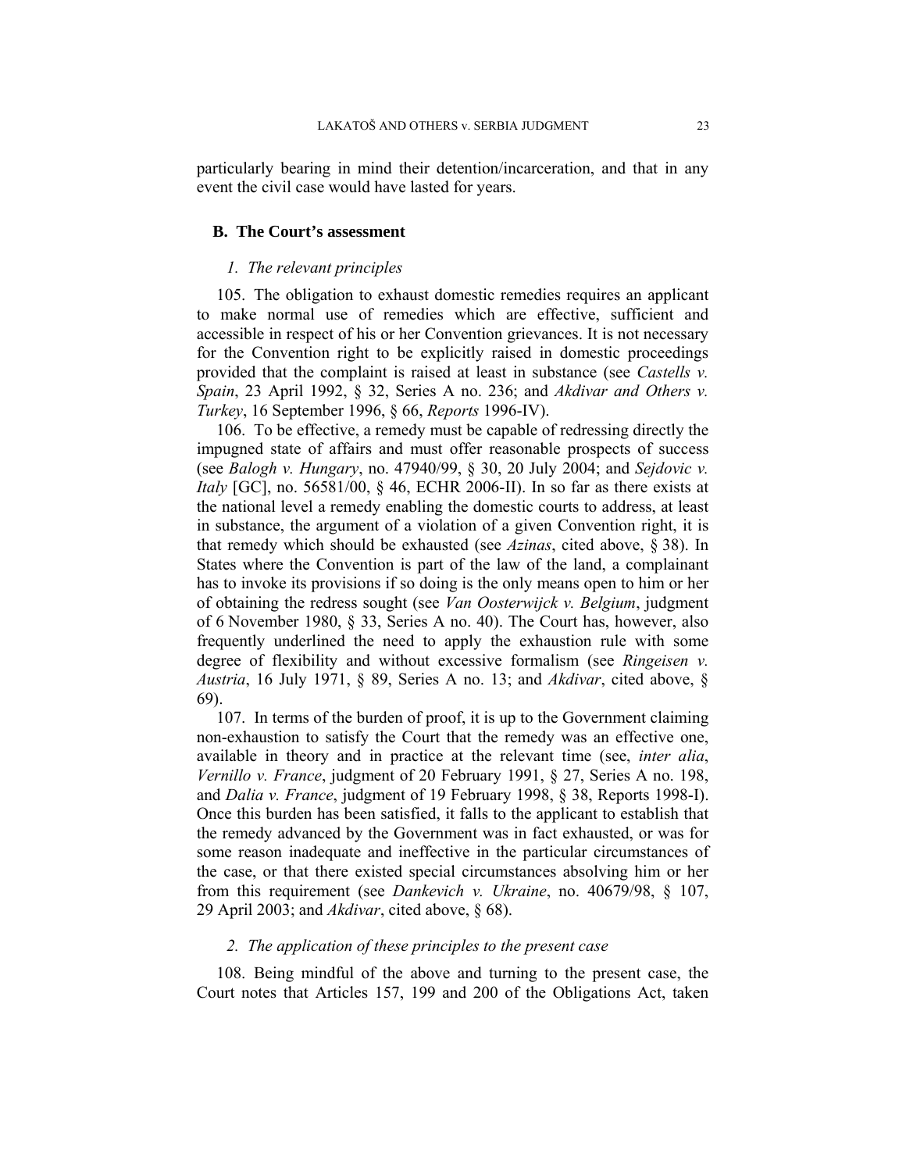particularly bearing in mind their detention/incarceration, and that in any event the civil case would have lasted for years.

### **B. The Court's assessment**

## *1. The relevant principles*

105. The obligation to exhaust domestic remedies requires an applicant to make normal use of remedies which are effective, sufficient and accessible in respect of his or her Convention grievances. It is not necessary for the Convention right to be explicitly raised in domestic proceedings provided that the complaint is raised at least in substance (see *Castells v. Spain*, 23 April 1992, § 32, Series A no. 236; and *Akdivar and Others v. Turkey*, 16 September 1996, § 66, *Reports* 1996-IV).

106. To be effective, a remedy must be capable of redressing directly the impugned state of affairs and must offer reasonable prospects of success (see *Balogh v. Hungary*, no. 47940/99, § 30, 20 July 2004; and *Sejdovic v. Italy* [GC], no. 56581/00, § 46, ECHR 2006-II). In so far as there exists at the national level a remedy enabling the domestic courts to address, at least in substance, the argument of a violation of a given Convention right, it is that remedy which should be exhausted (see *Azinas*, cited above, § 38). In States where the Convention is part of the law of the land, a complainant has to invoke its provisions if so doing is the only means open to him or her of obtaining the redress sought (see *Van Oosterwijck v. Belgium*, judgment of 6 November 1980, § 33, Series A no. 40). The Court has, however, also frequently underlined the need to apply the exhaustion rule with some degree of flexibility and without excessive formalism (see *Ringeisen v. Austria*, 16 July 1971, § 89, Series A no. 13; and *Akdivar*, cited above, § 69).

107. In terms of the burden of proof, it is up to the Government claiming non-exhaustion to satisfy the Court that the remedy was an effective one, available in theory and in practice at the relevant time (see, *inter alia*, *Vernillo v. France*, judgment of 20 February 1991, § 27, Series A no. 198, and *Dalia v. France*, judgment of 19 February 1998, § 38, Reports 1998-I). Once this burden has been satisfied, it falls to the applicant to establish that the remedy advanced by the Government was in fact exhausted, or was for some reason inadequate and ineffective in the particular circumstances of the case, or that there existed special circumstances absolving him or her from this requirement (see *Dankevich v. Ukraine*, no. 40679/98, § 107, 29 April 2003; and *Akdivar*, cited above, § 68).

### *2. The application of these principles to the present case*

108. Being mindful of the above and turning to the present case, the Court notes that Articles 157, 199 and 200 of the Obligations Act, taken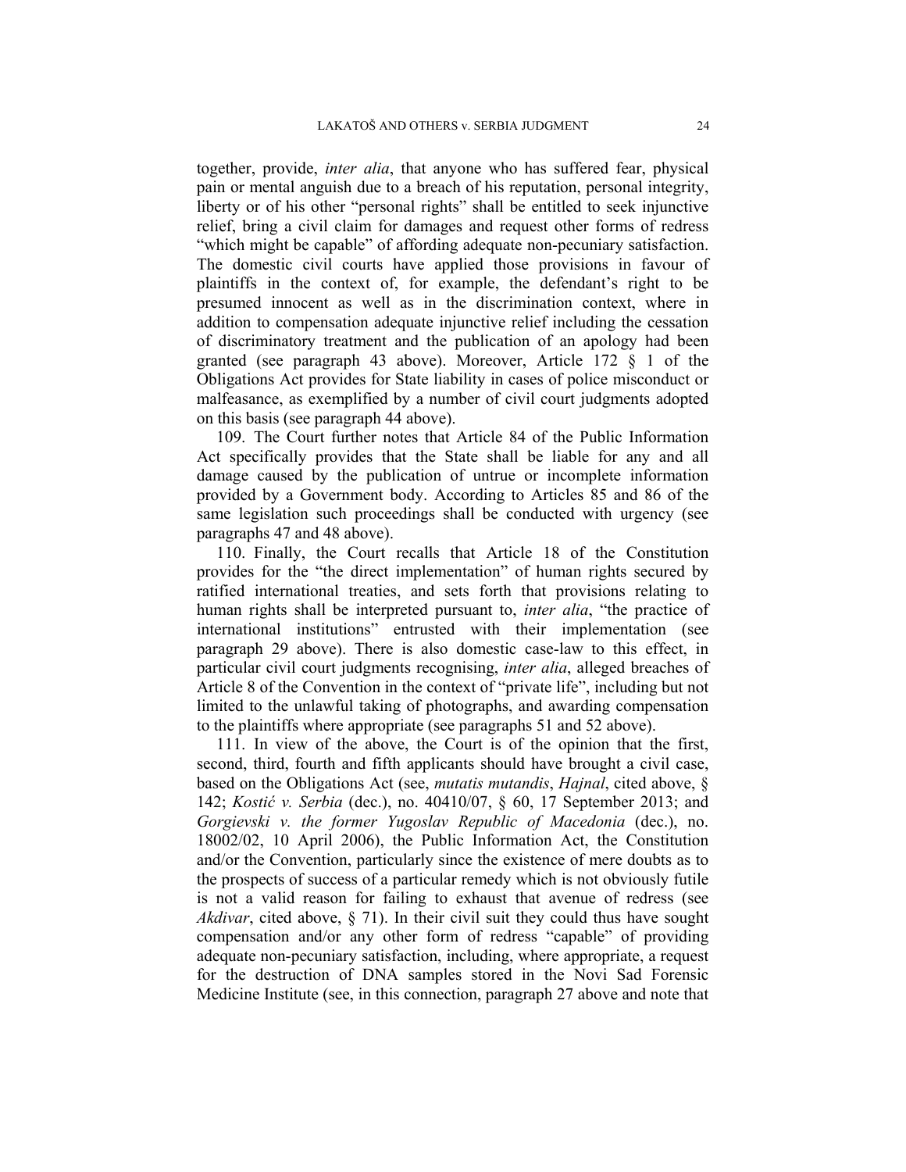together, provide, *inter alia*, that anyone who has suffered fear, physical pain or mental anguish due to a breach of his reputation, personal integrity, liberty or of his other "personal rights" shall be entitled to seek injunctive relief, bring a civil claim for damages and request other forms of redress "which might be capable" of affording adequate non-pecuniary satisfaction. The domestic civil courts have applied those provisions in favour of plaintiffs in the context of, for example, the defendant's right to be presumed innocent as well as in the discrimination context, where in addition to compensation adequate injunctive relief including the cessation of discriminatory treatment and the publication of an apology had been granted (see paragraph 43 above). Moreover, Article 172 § 1 of the Obligations Act provides for State liability in cases of police misconduct or malfeasance, as exemplified by a number of civil court judgments adopted on this basis (see paragraph 44 above).

109. The Court further notes that Article 84 of the Public Information Act specifically provides that the State shall be liable for any and all damage caused by the publication of untrue or incomplete information provided by a Government body. According to Articles 85 and 86 of the same legislation such proceedings shall be conducted with urgency (see paragraphs 47 and 48 above).

110. Finally, the Court recalls that Article 18 of the Constitution provides for the "the direct implementation" of human rights secured by ratified international treaties, and sets forth that provisions relating to human rights shall be interpreted pursuant to, *inter alia*, "the practice of international institutions" entrusted with their implementation (see paragraph 29 above). There is also domestic case-law to this effect, in particular civil court judgments recognising, *inter alia*, alleged breaches of Article 8 of the Convention in the context of "private life", including but not limited to the unlawful taking of photographs, and awarding compensation to the plaintiffs where appropriate (see paragraphs 51 and 52 above).

111. In view of the above, the Court is of the opinion that the first, second, third, fourth and fifth applicants should have brought a civil case, based on the Obligations Act (see, *mutatis mutandis*, *Hajnal*, cited above, § 142; *Kostić v. Serbia* (dec.), no. 40410/07, § 60, 17 September 2013; and *Gorgievski v. the former Yugoslav Republic of Macedonia* (dec.), no. 18002/02, 10 April 2006), the Public Information Act, the Constitution and/or the Convention, particularly since the existence of mere doubts as to the prospects of success of a particular remedy which is not obviously futile is not a valid reason for failing to exhaust that avenue of redress (see *Akdivar*, cited above, § 71). In their civil suit they could thus have sought compensation and/or any other form of redress "capable" of providing adequate non-pecuniary satisfaction, including, where appropriate, a request for the destruction of DNA samples stored in the Novi Sad Forensic Medicine Institute (see, in this connection, paragraph 27 above and note that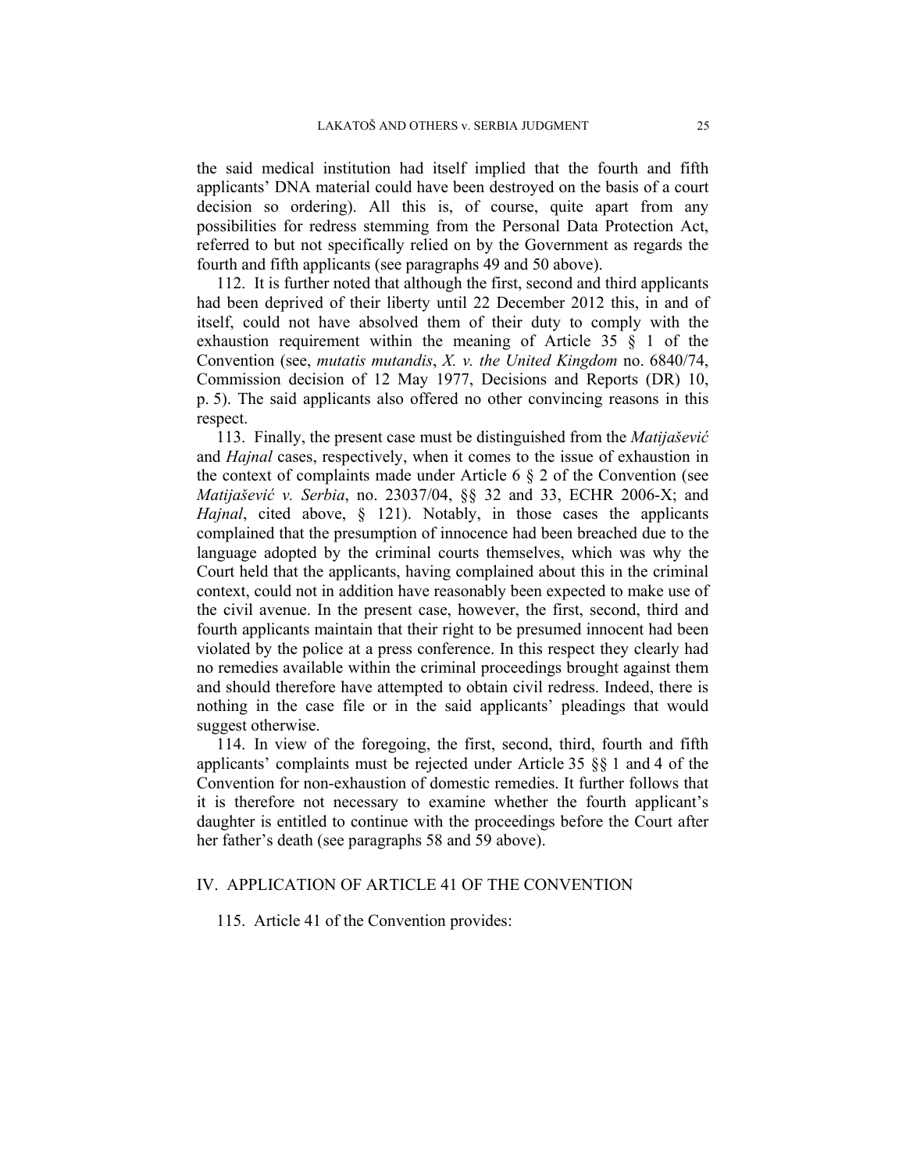the said medical institution had itself implied that the fourth and fifth applicants' DNA material could have been destroyed on the basis of a court decision so ordering). All this is, of course, quite apart from any possibilities for redress stemming from the Personal Data Protection Act, referred to but not specifically relied on by the Government as regards the fourth and fifth applicants (see paragraphs 49 and 50 above).

112. It is further noted that although the first, second and third applicants had been deprived of their liberty until 22 December 2012 this, in and of itself, could not have absolved them of their duty to comply with the exhaustion requirement within the meaning of Article 35 § 1 of the Convention (see, *mutatis mutandis*, *X. v. the United Kingdom* no. 6840/74, Commission decision of 12 May 1977, Decisions and Reports (DR) 10, p. 5). The said applicants also offered no other convincing reasons in this respect.

113. Finally, the present case must be distinguished from the *Matijašević* and *Hajnal* cases, respectively, when it comes to the issue of exhaustion in the context of complaints made under Article 6 § 2 of the Convention (see *Matijašević v. Serbia*, no. 23037/04, §§ 32 and 33, ECHR 2006-X; and *Hajnal*, cited above, § 121). Notably, in those cases the applicants complained that the presumption of innocence had been breached due to the language adopted by the criminal courts themselves, which was why the Court held that the applicants, having complained about this in the criminal context, could not in addition have reasonably been expected to make use of the civil avenue. In the present case, however, the first, second, third and fourth applicants maintain that their right to be presumed innocent had been violated by the police at a press conference. In this respect they clearly had no remedies available within the criminal proceedings brought against them and should therefore have attempted to obtain civil redress. Indeed, there is nothing in the case file or in the said applicants' pleadings that would suggest otherwise.

114. In view of the foregoing, the first, second, third, fourth and fifth applicants' complaints must be rejected under Article 35 §§ 1 and 4 of the Convention for non-exhaustion of domestic remedies. It further follows that it is therefore not necessary to examine whether the fourth applicant's daughter is entitled to continue with the proceedings before the Court after her father's death (see paragraphs 58 and 59 above).

## IV. APPLICATION OF ARTICLE 41 OF THE CONVENTION

115. Article 41 of the Convention provides: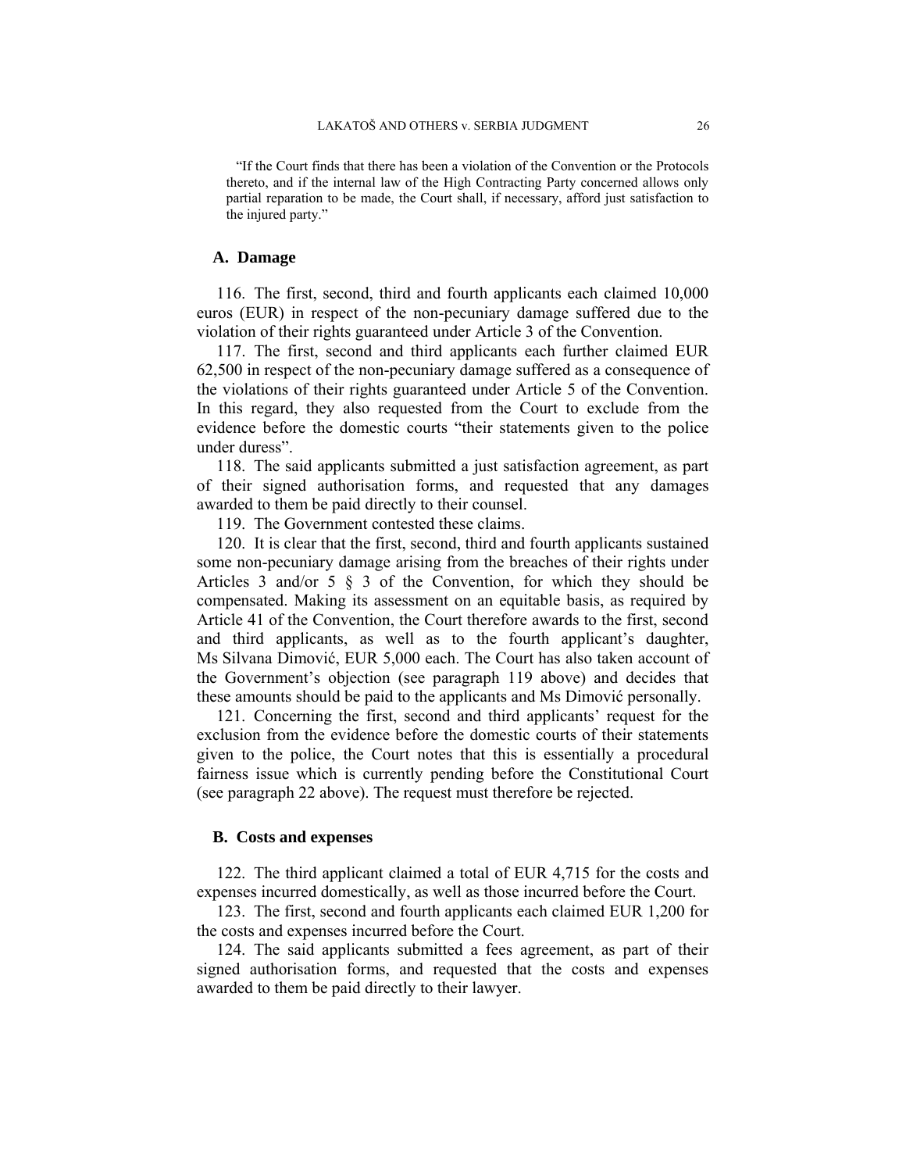"If the Court finds that there has been a violation of the Convention or the Protocols thereto, and if the internal law of the High Contracting Party concerned allows only partial reparation to be made, the Court shall, if necessary, afford just satisfaction to the injured party."

#### **A. Damage**

116. The first, second, third and fourth applicants each claimed 10,000 euros (EUR) in respect of the non-pecuniary damage suffered due to the violation of their rights guaranteed under Article 3 of the Convention.

117. The first, second and third applicants each further claimed EUR 62,500 in respect of the non-pecuniary damage suffered as a consequence of the violations of their rights guaranteed under Article 5 of the Convention. In this regard, they also requested from the Court to exclude from the evidence before the domestic courts "their statements given to the police under duress".

118. The said applicants submitted a just satisfaction agreement, as part of their signed authorisation forms, and requested that any damages awarded to them be paid directly to their counsel.

119. The Government contested these claims.

120. It is clear that the first, second, third and fourth applicants sustained some non-pecuniary damage arising from the breaches of their rights under Articles 3 and/or 5 § 3 of the Convention, for which they should be compensated. Making its assessment on an equitable basis, as required by Article 41 of the Convention, the Court therefore awards to the first, second and third applicants, as well as to the fourth applicant's daughter, Ms Silvana Dimović, EUR 5,000 each. The Court has also taken account of the Government's objection (see paragraph 119 above) and decides that these amounts should be paid to the applicants and Ms Dimović personally.

121. Concerning the first, second and third applicants' request for the exclusion from the evidence before the domestic courts of their statements given to the police, the Court notes that this is essentially a procedural fairness issue which is currently pending before the Constitutional Court (see paragraph 22 above). The request must therefore be rejected.

#### **B. Costs and expenses**

122. The third applicant claimed a total of EUR 4,715 for the costs and expenses incurred domestically, as well as those incurred before the Court.

123. The first, second and fourth applicants each claimed EUR 1,200 for the costs and expenses incurred before the Court.

124. The said applicants submitted a fees agreement, as part of their signed authorisation forms, and requested that the costs and expenses awarded to them be paid directly to their lawyer.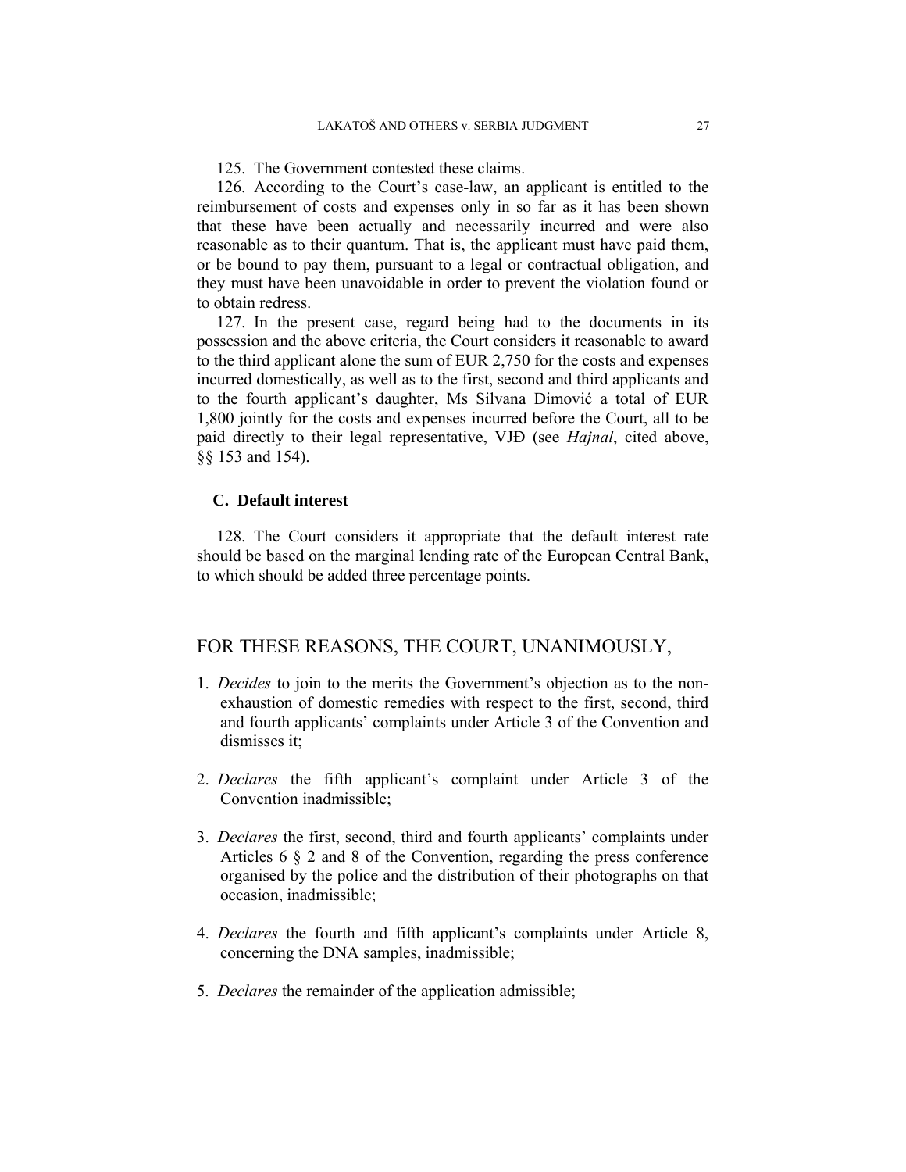125. The Government contested these claims.

126. According to the Court's case-law, an applicant is entitled to the reimbursement of costs and expenses only in so far as it has been shown that these have been actually and necessarily incurred and were also reasonable as to their quantum. That is, the applicant must have paid them, or be bound to pay them, pursuant to a legal or contractual obligation, and they must have been unavoidable in order to prevent the violation found or to obtain redress.

127. In the present case, regard being had to the documents in its possession and the above criteria, the Court considers it reasonable to award to the third applicant alone the sum of EUR 2,750 for the costs and expenses incurred domestically, as well as to the first, second and third applicants and to the fourth applicant's daughter, Ms Silvana Dimović a total of EUR 1,800 jointly for the costs and expenses incurred before the Court, all to be paid directly to their legal representative, VJĐ (see *Hajnal*, cited above, §§ 153 and 154).

### **C. Default interest**

128. The Court considers it appropriate that the default interest rate should be based on the marginal lending rate of the European Central Bank, to which should be added three percentage points.

## FOR THESE REASONS, THE COURT, UNANIMOUSLY,

- 1. *Decides* to join to the merits the Government's objection as to the nonexhaustion of domestic remedies with respect to the first, second, third and fourth applicants' complaints under Article 3 of the Convention and dismisses it;
- 2. *Declares* the fifth applicant's complaint under Article 3 of the Convention inadmissible;
- 3. *Declares* the first, second, third and fourth applicants' complaints under Articles 6 § 2 and 8 of the Convention, regarding the press conference organised by the police and the distribution of their photographs on that occasion, inadmissible;
- 4. *Declares* the fourth and fifth applicant's complaints under Article 8, concerning the DNA samples, inadmissible;
- 5. *Declares* the remainder of the application admissible;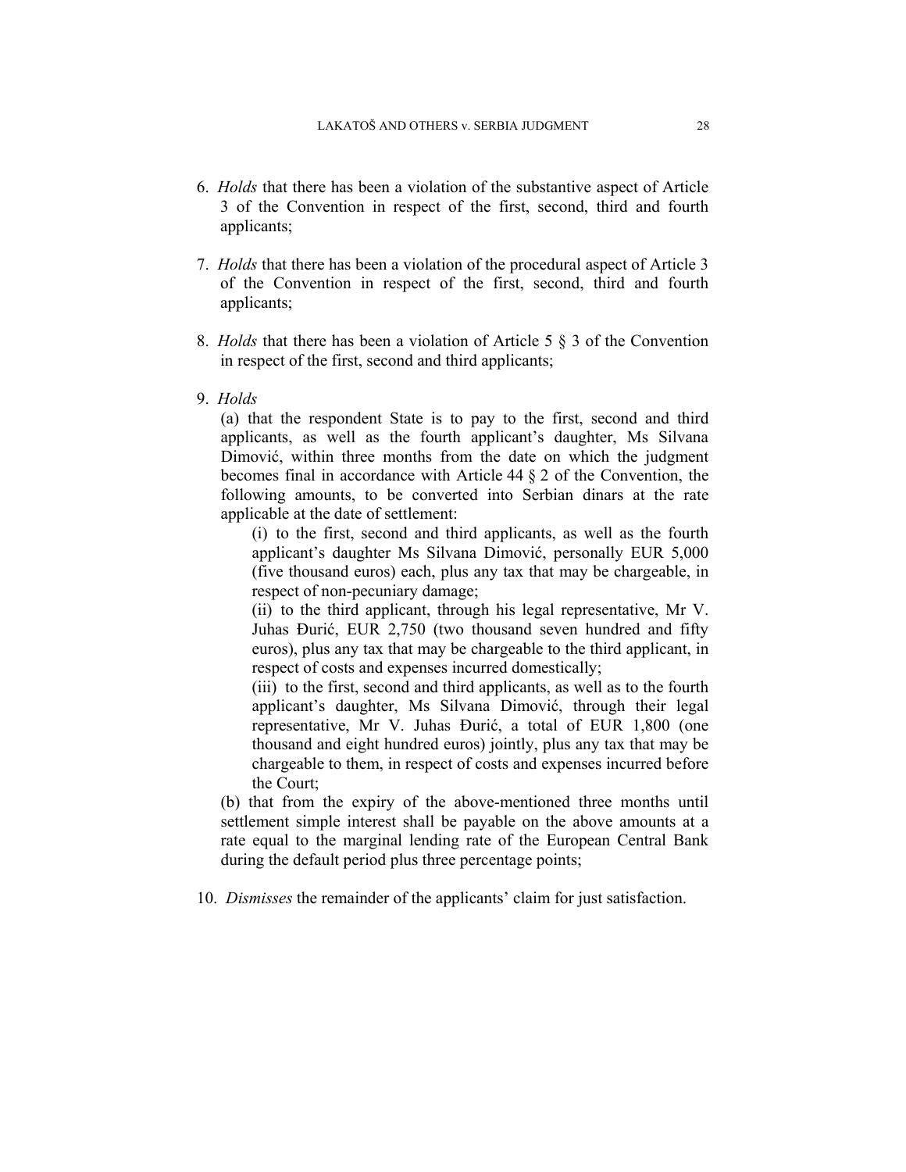- 6. *Holds* that there has been a violation of the substantive aspect of Article 3 of the Convention in respect of the first, second, third and fourth applicants;
- 7. *Holds* that there has been a violation of the procedural aspect of Article 3 of the Convention in respect of the first, second, third and fourth applicants;
- 8. *Holds* that there has been a violation of Article 5 § 3 of the Convention in respect of the first, second and third applicants;
- 9. *Holds*

(a) that the respondent State is to pay to the first, second and third applicants, as well as the fourth applicant's daughter, Ms Silvana Dimović, within three months from the date on which the judgment becomes final in accordance with Article 44 § 2 of the Convention, the following amounts, to be converted into Serbian dinars at the rate applicable at the date of settlement:

(i) to the first, second and third applicants, as well as the fourth applicant's daughter Ms Silvana Dimović, personally EUR 5,000 (five thousand euros) each, plus any tax that may be chargeable, in respect of non-pecuniary damage;

(ii) to the third applicant, through his legal representative, Mr V. Juhas Đurić, EUR 2,750 (two thousand seven hundred and fifty euros), plus any tax that may be chargeable to the third applicant, in respect of costs and expenses incurred domestically;

(iii) to the first, second and third applicants, as well as to the fourth applicant's daughter, Ms Silvana Dimović, through their legal representative, Mr V. Juhas Đurić, a total of EUR 1,800 (one thousand and eight hundred euros) jointly, plus any tax that may be chargeable to them, in respect of costs and expenses incurred before the Court;

(b) that from the expiry of the above-mentioned three months until settlement simple interest shall be payable on the above amounts at a rate equal to the marginal lending rate of the European Central Bank during the default period plus three percentage points;

10. *Dismisses* the remainder of the applicants' claim for just satisfaction.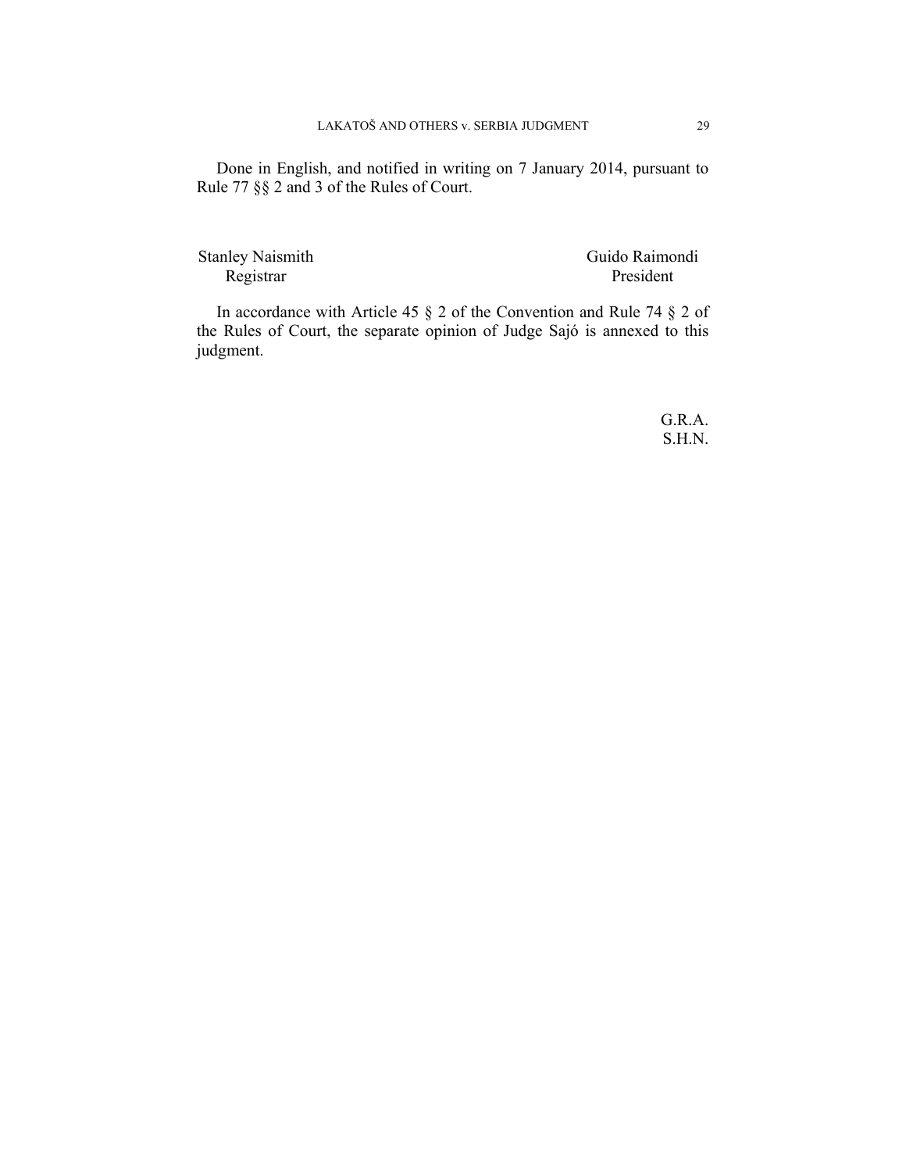Done in English, and notified in writing on 7 January 2014, pursuant to Rule 77 §§ 2 and 3 of the Rules of Court.

Registrar President

Stanley Naismith Guido Raimondi

In accordance with Article 45 § 2 of the Convention and Rule 74 § 2 of the Rules of Court, the separate opinion of Judge Sajó is annexed to this judgment.

> G.R.A. S.H.N.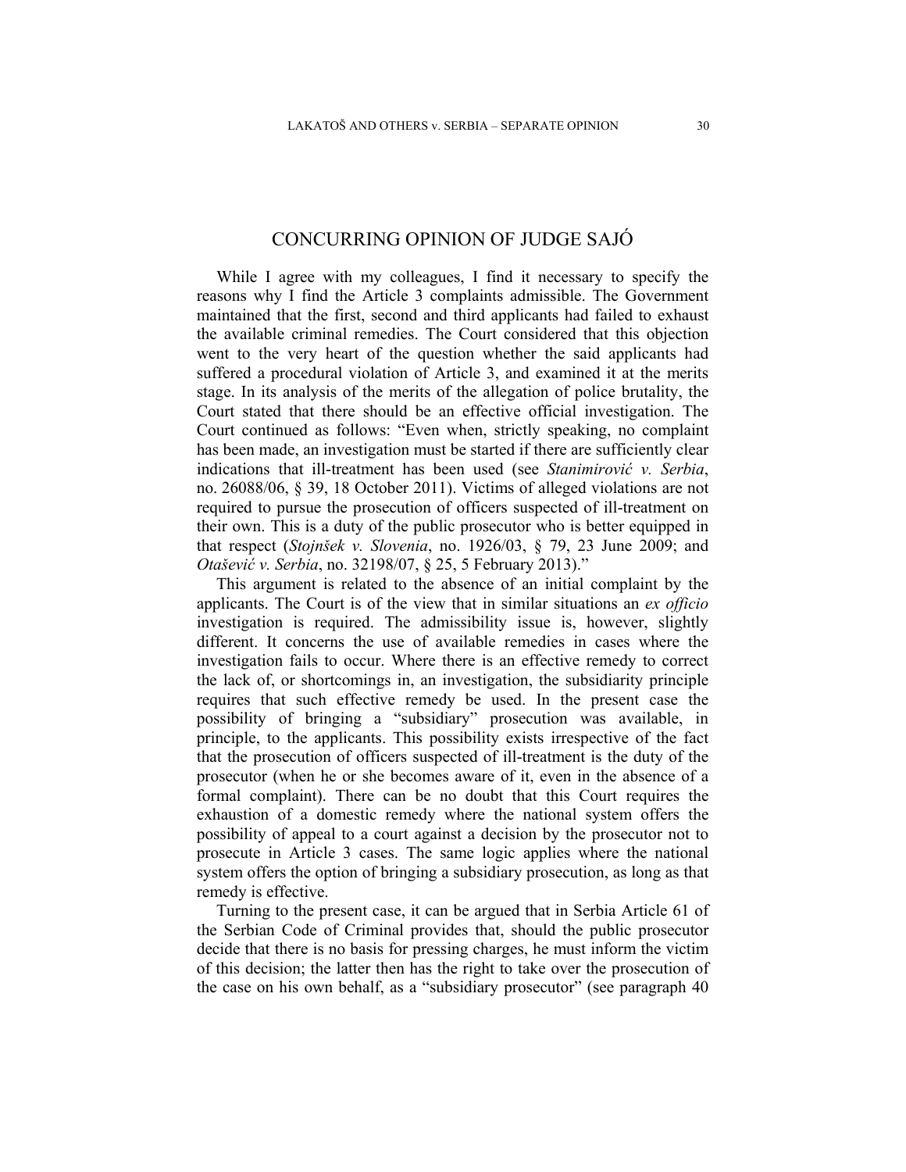## CONCURRING OPINION OF JUDGE SAJÓ

While I agree with my colleagues, I find it necessary to specify the reasons why I find the Article 3 complaints admissible. The Government maintained that the first, second and third applicants had failed to exhaust the available criminal remedies. The Court considered that this objection went to the very heart of the question whether the said applicants had suffered a procedural violation of Article 3, and examined it at the merits stage. In its analysis of the merits of the allegation of police brutality, the Court stated that there should be an effective official investigation. The Court continued as follows: "Even when, strictly speaking, no complaint has been made, an investigation must be started if there are sufficiently clear indications that ill-treatment has been used (see *Stanimirović v. Serbia*, no. 26088/06, § 39, 18 October 2011). Victims of alleged violations are not required to pursue the prosecution of officers suspected of ill-treatment on their own. This is a duty of the public prosecutor who is better equipped in that respect (*Stojnšek v. Slovenia*, no. 1926/03, § 79, 23 June 2009; and *Otašević v. Serbia*, no. 32198/07, § 25, 5 February 2013)."

This argument is related to the absence of an initial complaint by the applicants. The Court is of the view that in similar situations an *ex officio* investigation is required. The admissibility issue is, however, slightly different. It concerns the use of available remedies in cases where the investigation fails to occur. Where there is an effective remedy to correct the lack of, or shortcomings in, an investigation, the subsidiarity principle requires that such effective remedy be used. In the present case the possibility of bringing a "subsidiary" prosecution was available, in principle, to the applicants. This possibility exists irrespective of the fact that the prosecution of officers suspected of ill-treatment is the duty of the prosecutor (when he or she becomes aware of it, even in the absence of a formal complaint). There can be no doubt that this Court requires the exhaustion of a domestic remedy where the national system offers the possibility of appeal to a court against a decision by the prosecutor not to prosecute in Article 3 cases. The same logic applies where the national system offers the option of bringing a subsidiary prosecution, as long as that remedy is effective.

Turning to the present case, it can be argued that in Serbia Article 61 of the Serbian Code of Criminal provides that, should the public prosecutor decide that there is no basis for pressing charges, he must inform the victim of this decision; the latter then has the right to take over the prosecution of the case on his own behalf, as a "subsidiary prosecutor" (see paragraph 40